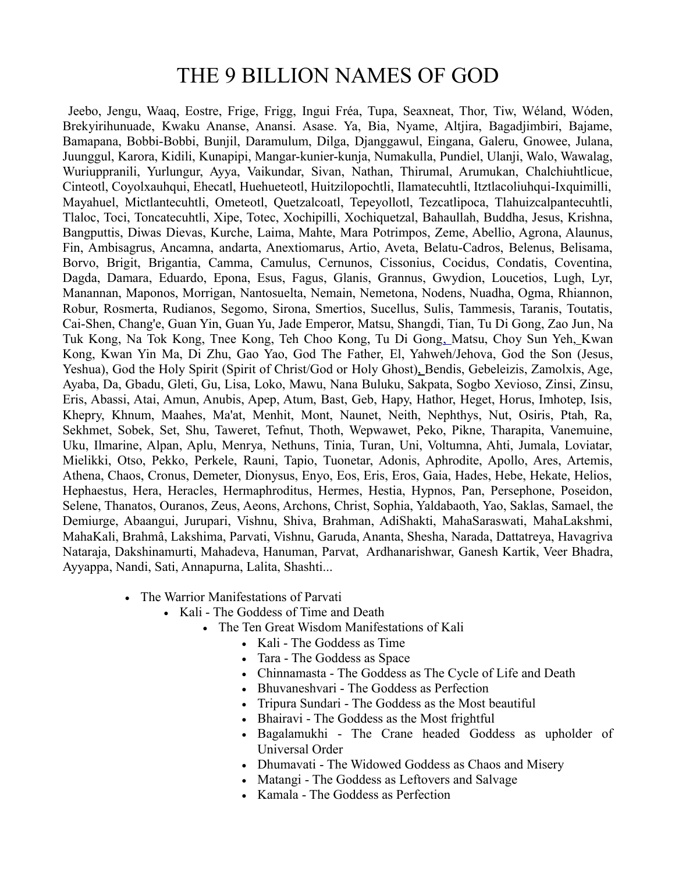## THE 9 BILLION NAMES OF GOD

Jeebo, Jengu, Waaq, Eostre, Frige, Frigg, [Ingui Fréa,](http://www.answers.com/topic/yngvi) Tupa, Seaxneat, Thor, [Tiw,](http://www.answers.com/topic/t-r-2) [Wéland,](http://www.answers.com/topic/wayland-smith) [Wóden,](http://www.answers.com/topic/woden-2) [Brekyirihunuade,](http://www.answers.com/topic/brekyirihunuade-1) [Kwaku Ananse,](http://www.answers.com/topic/anansi) Anansi. Asase. Ya, Bia, Nyame, Altjira, Bagadjimbiri, Bajame, Bamapana, Bobbi-Bobbi, Bunjil, Daramulum, Dilga, Djanggawul, Eingana, Galeru, Gnowee, Julana, Juunggul, Karora, Kidili, Kunapipi, Mangar-kunier-kunja, Numakulla, Pundiel, Ulanji, Walo, Wawalag, Wuriuppranili, Yurlungur, Ayya, Vaikundar, Sivan, Nathan, Thirumal, Arumukan, Chalchiuhtlicue, Cinteotl, Coyolxauhqui, Ehecatl, Huehueteotl, Huitzilopochtli, Ilamatecuhtli, Itztlacoliuhqui-Ixquimilli, Mayahuel, Mictlantecuhtli, Ometeotl, Quetzalcoatl, Tepeyollotl, Tezcatlipoca, Tlahuizcalpantecuhtli, Tlaloc, Toci, Toncatecuhtli, Xipe, Totec, Xochipilli, Xochiquetzal, Bahaullah, Buddha, Jesus, Krishna, Bangputtis, Diwas [Dievas, K](http://www.answers.com/topic/dievas-1)urche, Laima, Mahte, Mara Potrimpos, Zeme, Abellio, Agrona, Alaunus, Fin, Ambisagrus, Ancamna, andarta, Anextiomarus, Artio, Aveta, Belatu-Cadros, Belenus, Belisama, Borvo, Brigit, Brigantia, Camma, Camulus, Cernunos, Cissonius, Cocidus, Condatis, Coventina, Dagda, Damara, Eduardo, Epona, Esus, Fagus, Glanis, Grannus, Gwydion, Loucetios, Lugh, Lyr, Manannan, Maponos, Morrigan, Nantosuelta, Nemain, Nemetona, Nodens, Nuadha, Ogma, Rhiannon, Robur, Rosmerta, Rudianos, Segomo, Sirona, Smertios, Sucellus, Sulis, Tammesis, Taranis, Toutatis, Cai-Shen, Chang'e, Guan Yin, Guan Yu, Jade Emperor, Matsu, Shangdi, Tian, Tu Di Gong, Zao Jun, Na Tuk Kong, Na Tok Kong, Tnee Kong, Teh Choo Kong, Tu Di Gon[g, M](http://www.answers.com/topic/tua-pek-kong)atsu, Choy Sun Yeh, Kwan Kong, Kwan Yin Ma, Di Zhu, Gao Yao, God The Father, [El,](http://www.answers.com/topic/el) [Yahweh/Jehova,](http://www.answers.com/topic/yahweh-2) [God the Son](http://www.answers.com/topic/christian-views-of-jesus) [\(Jesus,](http://www.answers.com/topic/jesus-christ) [Yeshua\)](http://www.answers.com/topic/yeshua-name), [God the Holy Spirit](http://www.answers.com/topic/holy-spirit) (Spirit of Christ/God or [Holy Ghost\)](http://www.answers.com/topic/holy-spirit), Bendis, Gebeleizis, Zamolxis, Age, Ayaba, Da, Gbadu, [Gleti, G](http://www.answers.com/topic/gleti)u, Lisa, Loko, Mawu, Nana Buluku, Sakpata, Sogbo [Xevioso, Z](http://www.answers.com/topic/xevioso)insi, Zinsu, Eris, Abassi, Atai, Amun, Anubis, Apep, Atum, Bast, Geb, Hapy, Hathor, Heget, Horus, Imhotep, Isis, Khepry, Khnum, Maahes, Ma'at, Menhit, Mont, Naunet, Neith, Nephthys, Nut, Osiris, Ptah, Ra, Sekhmet, Sobek, Set, Shu, Taweret, Tefnut, Thoth, Wepwawet, Peko, Pikne, Tharapita, Vanemuine, Uku, Ilmarine, [Alpan,](http://www.answers.com/topic/etruscan-mythology) Aplu, Menrya, Nethuns, Tinia, Turan, Uni, Voltumna, Ahti, Jumala, Loviatar, Mielikki, Otso, Pekko, Perkele, Rauni, Tapio, Tuonetar, Adonis, Aphrodite, Apollo, Ares, Artemis, Athena, Chaos, Cronus, Demeter, Dionysus, Enyo, Eos, Eris, Eros, Gaia, Hades, Hebe, Hekate, Helios, Hephaestus, Hera, Heracles, Hermaphroditus, Hermes, Hestia, Hypnos, Pan, Persephone, Poseidon, Selene, Thanatos, Ouranos, Zeus, Aeons, Archons, Christ, Sophia, Yaldabaoth, [Yao,](http://www.answers.com/topic/yahweh-2) Saklas, [Samael,](http://www.answers.com/topic/samael) the Demiurge, [Abaangui, J](http://www.answers.com/topic/abaangui)urupari, Vishnu, Shiva, Brahman, AdiShakti, MahaSaraswati, MahaLakshmi, MahaKali, [Brahmâ,](http://www.answers.com/topic/brahman) Lakshima, Parvati, Vishnu, Garuda, Ananta, Shesha, Narada, Dattatreya, Havagriva Nataraja, Dakshinamurti, Mahadeva, Hanuman, Parvat, Ardhanarishwar, [Ganesh](http://www.answers.com/topic/ganesha) [Kartik, V](http://www.answers.com/topic/kartik-bengali-month)eer Bhadra, Ayyappa, Nandi, Sati, Annapurna, Lalita, Shashti...

- The Warrior Manifestations of Parvati
	- [Kali](http://www.answers.com/topic/kali)  The Goddess of Time and Death
		- The Ten Great Wisdom Manifestations of Kali
			- [Kali](http://www.answers.com/topic/kali)  The Goddess as Time
			- [Tara](http://www.answers.com/topic/tara-queensland)  The Goddess as Space
			- [Chinnamasta](http://www.answers.com/topic/chhinnamasta)  The Goddess as The Cycle of Life and Death
			- [Bhuvaneshvari](http://www.answers.com/topic/bhuvaneshvari)  The Goddess as Perfection
			- [Tripura Sundari](http://www.answers.com/topic/tripura-sundari)  The Goddess as the Most beautiful
			- [Bhairavi](http://www.answers.com/topic/bhairavi)  The Goddess as the Most frightful
			- [Bagalamukhi](http://www.answers.com/topic/bagalamukhi)  The Crane headed Goddess as upholder of Universal Order
			- [Dhumavati](http://www.answers.com/topic/dhumavati)  The Widowed Goddess as Chaos and Misery
			- [Matangi](http://www.answers.com/topic/matangi)  The Goddess as Leftovers and Salvage
			- [Kamala](http://www.answers.com/topic/kamala-1)  The Goddess as Perfection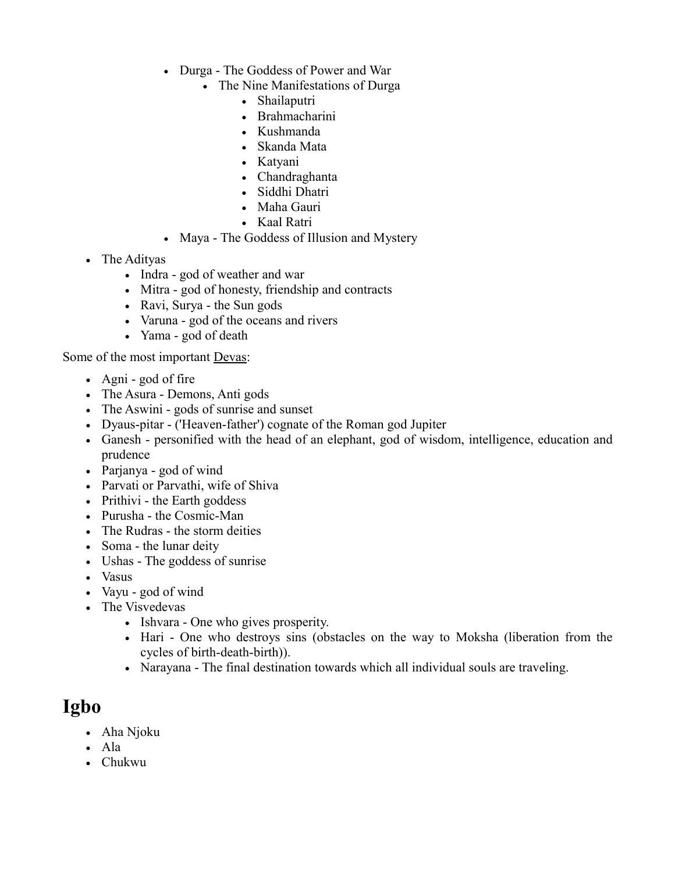- [Durga](http://www.answers.com/topic/durga-2)  The Goddess of Power and War
	- The Nine Manifestations of Durga
		- Shailaputri
		- Brahmacharini
		- Kushmanda
		- Skanda Mata
		- Katyani
		- Chandraghanta
		- Siddhi Dhatri
		- Maha Gauri
		- Kaal Ratri
- [Maya](http://www.answers.com/topic/maya-illusion)  The Goddess of Illusion and Mystery
- The [Adityas](http://www.answers.com/topic/aditya-2)
	- [Indra](http://www.answers.com/topic/indra)  god of weather and war
	- [Mitra](http://www.answers.com/topic/mitra-vedic)  god of honesty, friendship and contracts
	- [Ravi,](http://www.answers.com/topic/ravi-god) [Surya](http://www.answers.com/topic/surya-2) - [the Sun gods](http://www.answers.com/topic/solar-deity)
	- [Varuna](http://www.answers.com/topic/varuna)  god of the oceans and rivers
	- [Yama](http://www.answers.com/topic/yama-hinduism)  god of death

Some of the most important [Devas:](http://www.answers.com/topic/deva-hinduism)

- [Agni](http://www.answers.com/topic/agni)  god of fire
- The [Asura](http://www.answers.com/topic/asura-2)  Demons, Anti gods
- The [Aswini](http://www.answers.com/topic/ashvini)  gods of sunrise and sunset
- Dyaus-pitar ('Heaven-father') cognate of the [Roman](http://www.answers.com/topic/roman-mythology-2) god [Jupiter](http://www.answers.com/topic/jupiter-god)
- [Ganesh](http://www.answers.com/topic/ganesha)  personified with the head of an elephant, god of wisdom, intelligence, education and prudence
- [Parjanya](http://www.answers.com/topic/parjanya-2)  god of wind
- [Parvati](http://www.answers.com/topic/parvati) or [Parvathi,](http://www.answers.com/topic/parvati) wife of [Shiva](http://www.answers.com/topic/shiva)
- [Prithivi](http://www.answers.com/topic/prithvi)  the Earth goddess
- [Purusha](http://www.answers.com/topic/purusha)  the Cosmic-Man
- The [Rudras](http://www.answers.com/topic/maruts-1)  the storm deities
- [Soma](http://www.answers.com/topic/soma)  the [lunar deity](http://www.answers.com/topic/lunar-deity)
- [Ushas](http://www.answers.com/topic/ushas-2)  The goddess of sunrise
- [Vasus](http://www.answers.com/topic/vasu)
- [Vayu](http://www.answers.com/topic/vayu-2)  god of wind
- The [Visvedevas](http://www.answers.com/topic/visvedevas)
	- [Ishvara](http://www.answers.com/topic/ishvara)  One who gives prosperity.
	- [Hari](http://www.answers.com/topic/hari)  One who destroys sins (obstacles on the way to Moksha (liberation from the cycles of birth-death-birth)).
	- [Narayana](http://www.answers.com/topic/narayana)  The final destination towards which all individual souls are traveling.

## **[Igbo](http://www.answers.com/topic/igbo-mythology)**

- [Aha Njoku](http://www.answers.com/topic/ahia-njoku)
- $\bullet$  [Ala](http://www.answers.com/topic/ala-mythology)
- [Chukwu](http://www.answers.com/topic/chukwu)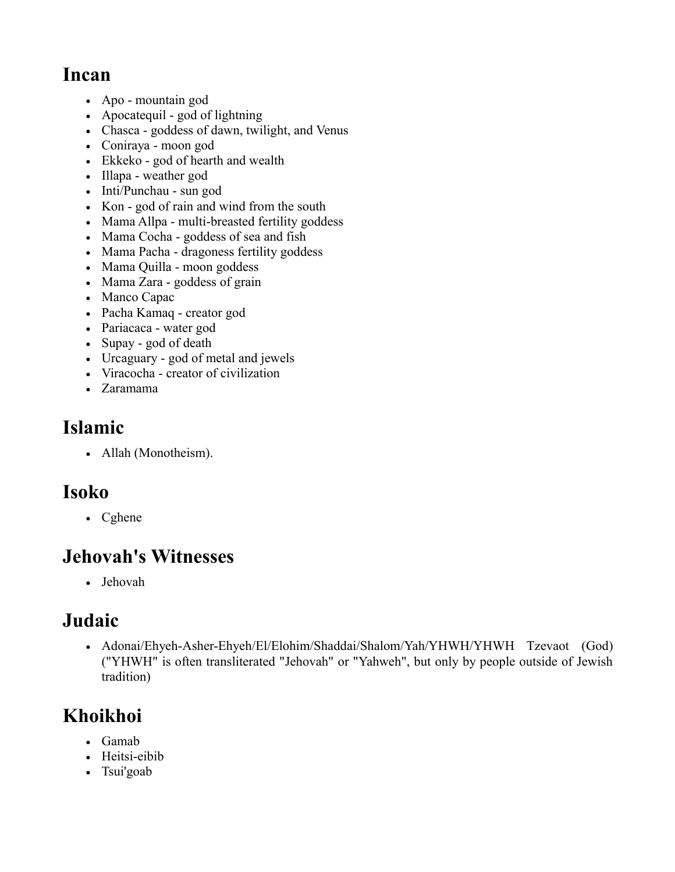## **[Incan](http://www.answers.com/topic/inca-mythology)**

- [Apo](http://www.answers.com/topic/inca-mythology)  mountain god
- [Apocatequil](http://www.answers.com/topic/apocatequil)  god of lightning
- [Chasca](http://www.answers.com/topic/inca-mythology)  goddess of dawn, twilight, and Venus
- [Coniraya](http://www.answers.com/topic/inca-mythology)  moon god
- [Ekkeko](http://www.answers.com/topic/ekkeko-1)  god of hearth and wealth
- [Illapa](http://www.answers.com/topic/inca-mythology)  weather god
- [Inti/Punchau](http://www.answers.com/topic/inti-2)  sun god
- [Kon](http://www.answers.com/topic/inca-mythology)  god of rain and wind from the south
- [Mama Allpa](http://www.answers.com/topic/inca-mythology)  multi-breasted fertility goddess
- [Mama Cocha](http://www.answers.com/topic/inca-mythology)  goddess of sea and fish
- [Mama Pacha](http://www.answers.com/topic/pachamama-1)  dragoness fertility goddess
- [Mama Quilla](http://www.answers.com/topic/mama-quilla)  moon goddess
- [Mama Zara](http://www.answers.com/topic/sara-mama)  goddess of grain
- [Manco Capac](http://www.answers.com/topic/manco-capac-1)
- [Pacha Kamaq](http://www.answers.com/topic/pacha-kamaq)  creator god
- [Pariacaca](http://www.answers.com/topic/pariacaca)  water god
- [Supay](http://www.answers.com/topic/supay)  god of death
- [Urcaguary](http://www.answers.com/topic/urcaguary)  god of metal and jewels
- [Viracocha](http://www.answers.com/topic/viracocha)  creator of civilization
- [Zaramama](http://www.answers.com/topic/inca-mythology)

# **[Islamic](http://www.answers.com/topic/islam)**

• [Allah](http://www.answers.com/topic/allah) [\(Monotheism\)](http://www.answers.com/topic/monotheism).

# **[Isoko](http://www.answers.com/topic/isoko-people)**

• [Cghene](http://www.answers.com/topic/cghene)

# **Jehovah's Witnesses**

[Jehovah](http://www.answers.com/topic/jehovah-3)

# **[Judaic](http://www.answers.com/topic/judaism)**

• [Adonai/Ehyeh-Asher-Ehyeh](http://www.answers.com/topic/ha-shem)[/El](http://www.answers.com/topic/el)[/Elohim/](http://www.answers.com/topic/elohim)[Shaddai/](http://www.answers.com/topic/shaddai-1)[Shalom/Yah](http://www.answers.com/topic/ha-shem)[/YHWH/](http://www.answers.com/topic/yahweh-2)[YHWH Tzevaot](http://www.answers.com/topic/ha-shem) [\(God\)](http://www.answers.com/topic/god-john-lennon-song) (["YHWH"](http://www.answers.com/topic/yahweh-2) is often transliterated ["Jehovah"](http://www.answers.com/topic/jehovah-3) or ["Yahweh"](http://www.answers.com/topic/yahweh-2), but only by people outside of Jewish tradition)

# **[Khoikhoi](http://www.answers.com/topic/khoikhoi-mythology)**

- [Gamab](http://www.answers.com/topic/khoikhoi-mythology)
- Heitsi-eibib
- [Tsui'goab](http://www.answers.com/topic/khoikhoi-mythology)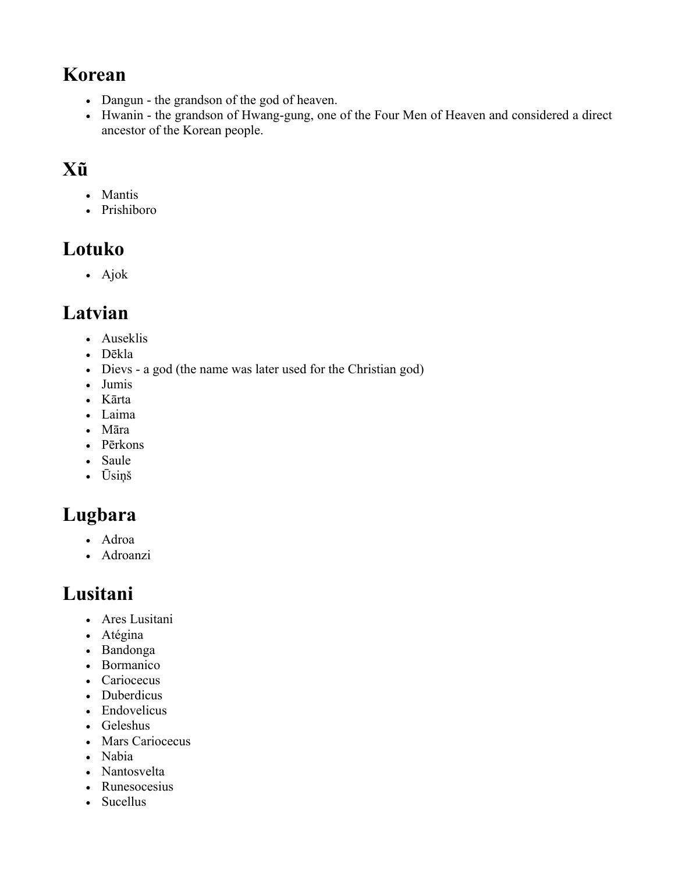## **[Korean](http://www.answers.com/topic/korean-mythology)**

- [Dangun](http://www.answers.com/topic/dangun)  the grandson of the god of heaven.
- [Hwanin](http://www.answers.com/topic/hwanin)  the grandson of Hwang-gung, one of the Four Men of Heaven and considered a direct ancestor of the Korean people.

# **[Xũ](http://www.answers.com/topic/kung-people)**

- [Mantis](http://www.answers.com/topic/mantis-1)
- Prishiboro

# **[Lotuko](http://www.answers.com/topic/lotuko-mythology)**

Ajok

# **[Latvian](http://www.answers.com/topic/latvian-mythology)**

- [Auseklis](http://www.answers.com/topic/auseklis)
- Dēkla
- [Dievs](http://www.answers.com/topic/dievs-1)  a god (the name was later used for the Christian god)
- [Jumis](http://www.answers.com/topic/latvian-mythology)
- Kārta
- [Laima](http://www.answers.com/topic/laima)
- [Māra](http://www.answers.com/topic/m-ra)
- [Pērkons](http://www.answers.com/topic/perk-nas)
- [Saule](http://www.answers.com/topic/saul-7)
- [Ūsiņš](http://www.answers.com/topic/latvian-mythology)

# **[Lugbara](http://www.answers.com/topic/lugbara-mythology)**

- [Adroa](http://www.answers.com/topic/adroa)
- Adroanzi

# **[Lusitani](http://www.answers.com/topic/lusitanian-mythology)**

- [Ares Lusitani](http://www.answers.com/topic/ares-lusitani)
- [Atégina](http://www.answers.com/topic/ataegina)
- [Bandonga](http://www.answers.com/topic/bandonga)
- [Bormanico](http://www.answers.com/topic/bormanico)
- [Cariocecus](http://www.answers.com/topic/cariocecus)
- [Duberdicus](http://www.answers.com/topic/duberdicus)
- [Endovelicus](http://www.answers.com/topic/endovelicus)
- Geleshus
- [Mars Cariocecus](http://www.answers.com/topic/cariocecus)
- [Nabia](http://www.answers.com/topic/nabia)
- [Nantosvelta](http://www.answers.com/topic/nantosuelta)
- [Runesocesius](http://www.answers.com/topic/runesocesius)
- [Sucellus](http://www.answers.com/topic/sucellus)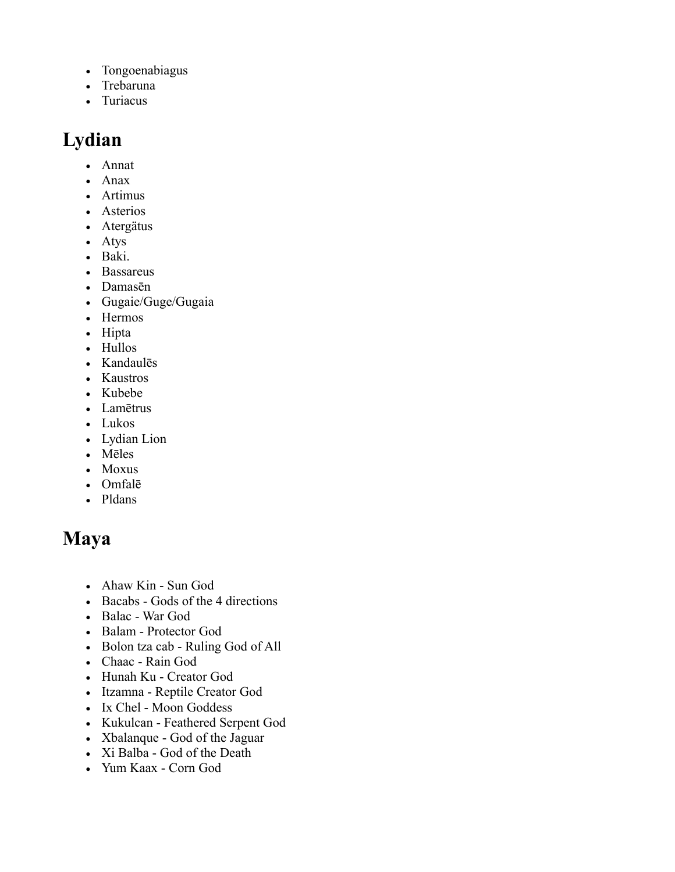- [Tongoenabiagus](http://www.answers.com/topic/tongoenabiagus)
- [Trebaruna](http://www.answers.com/topic/trebaruna)
- [Turiacus](http://www.answers.com/topic/turiacus)

# **[Lydian](http://www.answers.com/topic/lydian-gods)**

- [Annat](http://www.answers.com/topic/anat)
- [Anax](http://www.answers.com/topic/anax-1)
- [Artimus](http://www.answers.com/topic/artemis)
- [Asterios](http://www.answers.com/topic/asterion)
- [Atergätus](http://www.answers.com/topic/atargatis)
- [Atys](http://www.answers.com/topic/attis)
- [Baki.](http://www.answers.com/topic/dionysus)
- [Bassareus](http://www.answers.com/topic/bassareus)
- Damasēn
- Gugaie/Guge/Gugaia
- [Hermos](http://www.answers.com/topic/the-legendary-dragon-cards)
- Hipta
- [Hullos](http://www.answers.com/topic/hyllus-river)
- [Kandaulēs](http://www.answers.com/topic/hermes)
- Kaustros
- [Kubebe](http://www.answers.com/topic/kubaba)
- [Lamētrus](http://www.answers.com/topic/demeter)
- [Lukos](http://www.answers.com/topic/lycus-river-of-lydia)
- Lydian Lion
- Mēles
- [Moxus](http://www.answers.com/topic/mopsus)
- [Omfalē](http://www.answers.com/topic/omphale)
- [Pldans](http://www.answers.com/topic/apollo)

## **[Maya](http://www.answers.com/topic/maya-mythology)**

- Ahaw Kin Sun God
- [Bacabs](http://www.answers.com/topic/maya-mythology)  Gods of the 4 directions
- [Balac](http://www.answers.com/topic/balak)  War God
- [Balam](http://www.answers.com/topic/b-alam)  Protector God
- Bolon tza cab Ruling God of All
- [Chaac](http://www.answers.com/topic/chaac)  Rain God
- Hunah Ku Creator God
- [Itzamna](http://www.answers.com/topic/itzamna-1)  Reptile Creator God
- [Ix Chel](http://www.answers.com/topic/ixchel)  Moon Goddess
- [Kukulcan](http://www.answers.com/topic/gukumatz)  Feathered Serpent God
- [Xbalanque](http://www.answers.com/topic/maya-hero-twins)  God of the Jaguar
- Xi Balba God of the Death
- [Yum Kaax](http://www.answers.com/topic/yum-caax)  Corn God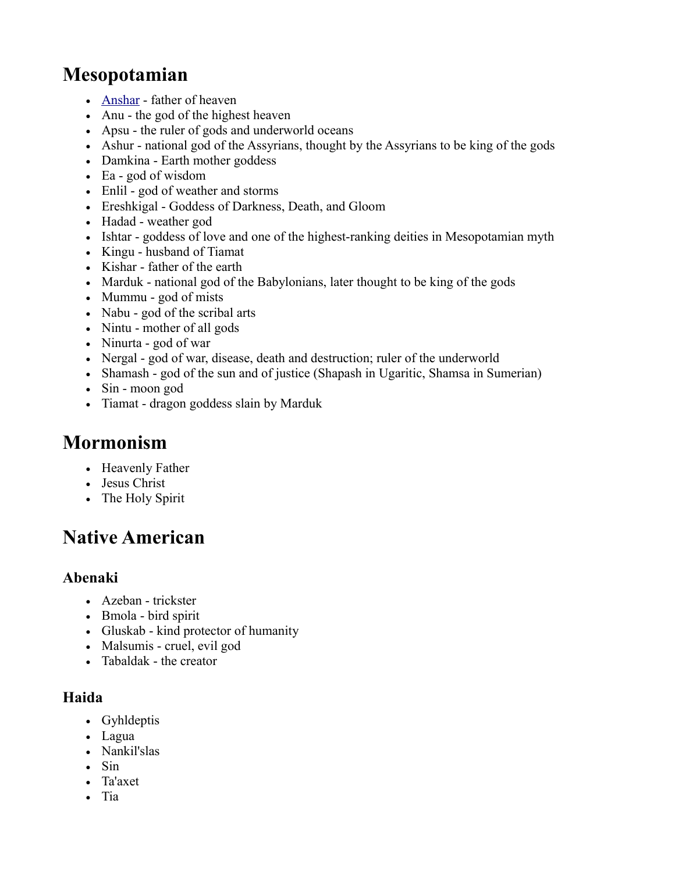# **[Mesopotamian](http://www.answers.com/topic/mesopotamian-mythology)**

- [Anshar](http://www.answers.com/topic/anshar-2)  father of heaven
- [Anu](http://www.answers.com/topic/anu)  the god of the highest heaven
- [Apsu](http://www.answers.com/topic/aps-999)  the ruler of gods and underworld oceans
- [Ashur](http://www.answers.com/topic/ashur-1)  national god of the Assyrians, thought by the Assyrians to be king of the gods
- [Damkina](http://www.answers.com/topic/damgalnuna)  Earth mother goddess
- [Ea](http://www.answers.com/topic/enki)  god of wisdom
- [Enlil](http://www.answers.com/topic/enlil)  god of weather and storms
- [Ereshkigal](http://www.answers.com/topic/ereshkigal)  Goddess of Darkness, Death, and Gloom
- [Hadad](http://www.answers.com/topic/hadad-1)  weather god
- [Ishtar](http://www.answers.com/topic/ishtar)  goddess of love and one of the highest-ranking deities in Mesopotamian myth
- [Kingu](http://www.answers.com/topic/kingu)  husband of Tiamat
- [Kishar](http://www.answers.com/topic/kishar-2)  father of the earth
- [Marduk](http://www.answers.com/topic/marduk)  national god of the Babylonians, later thought to be king of the gods
- [Mummu](http://www.answers.com/topic/mummu)  god of mists
- [Nabu](http://www.answers.com/topic/nabu-1)  god of the scribal arts
- [Nintu](http://www.answers.com/topic/belet-ili)  mother of all gods
- [Ninurta](http://www.answers.com/topic/ninurta-1)  god of war
- [Nergal](http://www.answers.com/topic/nergal)  god of war, disease, death and destruction; ruler of the underworld
- [Shamash](http://www.answers.com/topic/shamash)  god of the sun and of justice (Shapash in Ugaritic, Shamsa in Sumerian)
- [Sin](http://www.answers.com/topic/sin-babylonian-god-of-the-moon)  moon god
- [Tiamat](http://www.answers.com/topic/tiamat)  dragon goddess slain by Marduk

## **[Mormonism](http://www.answers.com/topic/mormonism-2)**

- [Heavenly Father](http://www.answers.com/topic/god-the-father)
- [Jesus Christ](http://www.answers.com/topic/jesus-christ)
- [The Holy Spirit](http://www.answers.com/topic/holy-spirit)

## **[Native American](http://www.answers.com/topic/native-american-mythology)**

### **[Abenaki](http://www.answers.com/topic/abenaki)**

- [Azeban](http://www.answers.com/topic/azeban) - [trickster](http://www.answers.com/topic/trickster)
- [Bmola](http://www.answers.com/topic/pamola) - [bird](http://www.answers.com/topic/bird) spirit
- [Gluskab](http://www.answers.com/topic/glooscap)  kind protector of humanity
- [Malsumis](http://www.answers.com/topic/malsumis)  cruel, evil god
- [Tabaldak](http://www.answers.com/topic/tabaldak)  the creator

### **[Haida](http://www.answers.com/topic/haida-mythology)**

- Gyhldeptis
- Lagua
- Nankil'slas
- $\cdot$  Sin
- Ta'axet
- $\bullet$  [Tia](http://www.answers.com/topic/tia-2)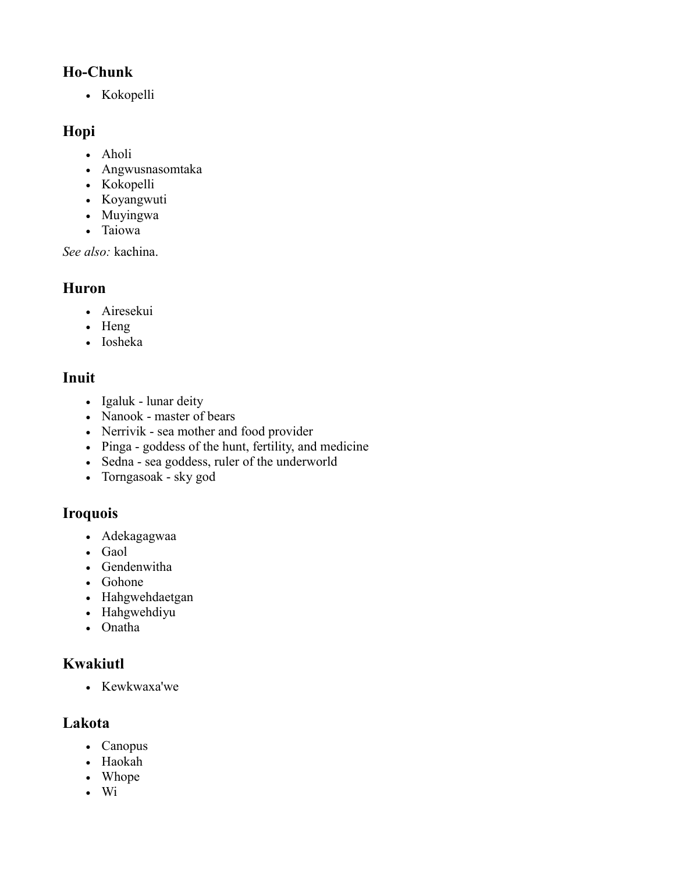### **[Ho-Chunk](http://www.answers.com/topic/ho-chunk-mythology)**

• [Kokopelli](http://www.answers.com/topic/kokopelli)

### **[Hopi](http://www.answers.com/topic/hopi-mythology)**

- [Aholi](http://www.answers.com/topic/aholi)
- [Angwusnasomtaka](http://www.answers.com/topic/angwusnasomtaka)
- [Kokopelli](http://www.answers.com/topic/kokopelli)
- Koyangwuti
- [Muyingwa](http://www.answers.com/topic/hopi-mythology)
- [Taiowa](http://www.answers.com/topic/hopi-mythology)

*See also:* [kachina.](http://www.answers.com/topic/kachina)

### **[Huron](http://www.answers.com/topic/wyandot-mythology)**

- Airesekui
- [Heng](http://www.answers.com/topic/heng-2)
- [Iosheka](http://www.answers.com/topic/wyandot-mythology)

### **[Inuit](http://www.answers.com/topic/inuit-mythology)**

- [Igaluk](http://www.answers.com/topic/igaluk)  lunar deity
- [Nanook](http://www.answers.com/topic/nanook)  master of bears
- [Nerrivik](http://www.answers.com/topic/nerrivik)  sea mother and food provider
- [Pinga](http://www.answers.com/topic/pinga)  goddess of the hunt, fertility, and medicine
- [Sedna](http://www.answers.com/topic/sedna)  sea goddess, ruler of the underworld
- [Torngasoak](http://www.answers.com/topic/torngasoak)  sky god

### **[Iroquois](http://www.answers.com/topic/iroquois-mythology)**

- Adekagagwaa
- [Gaol](http://www.answers.com/topic/jail-4)
- Gendenwitha
- Gohone
- Hahgwehdaetgan
- Hahgwehdiyu
- Onatha

### **[Kwakiutl](http://www.answers.com/topic/kwakwaka-wakw-mythology)**

• Kewkwaxa'we

#### **[Lakota](http://www.answers.com/topic/lakota-mythology)**

- Canopus
- [Haokah](http://www.answers.com/topic/haokah)
- [Whope](http://www.answers.com/topic/whope)
- $\bullet$  [Wi](http://www.answers.com/topic/wisconsin)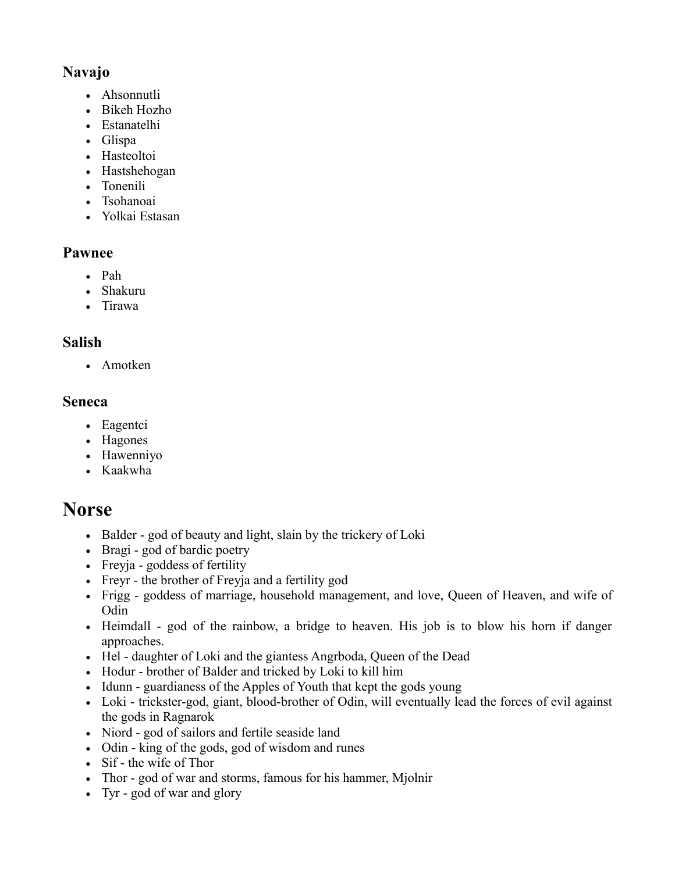### **[Navajo](http://www.answers.com/topic/navajo-mythology)**

- Ahsonnutli
- Bikeh Hozho
- Estanatelhi
- Glispa
- Hasteoltoi
- Hastshehogan
- Tonenili
- Tsohanoai
- Yolkai Estasan

#### **[Pawnee](http://www.answers.com/topic/pawnee-mythology)**

- [Pah](http://www.answers.com/topic/pah)
- [Shakuru](http://www.answers.com/topic/pawnee-mythology)
- [Tirawa](http://www.answers.com/topic/pawnee-mythology)

#### **[Salish](http://www.answers.com/topic/salish-mythology)**

• [Amotken](http://www.answers.com/topic/salish-mythology)

#### **[Seneca](http://www.answers.com/topic/seneca-mythology)**

- Eagentci
- Hagones
- Hawenniyo
- Kaakwha

## **[Norse](http://www.answers.com/topic/norse-mythology)**

- Balder god of beauty and light, slain by the trickery of Loki
- [Bragi](http://www.answers.com/topic/bragi-1)  god of bardic poetry
- [Freyja](http://www.answers.com/topic/freyja-1)  goddess of fertility
- [Freyr](http://www.answers.com/topic/freyr)  the brother of Freyja and a fertility god
- [Frigg](http://www.answers.com/topic/frigg)  goddess of marriage, household management, and love, Queen of Heaven, and wife of Odin
- [Heimdall](http://www.answers.com/topic/heimdall-1)  god of the rainbow, a bridge to heaven. His job is to blow his horn if danger approaches.
- [Hel](http://www.answers.com/topic/hel-being)  daughter of Loki and the giantess Angrboda, Queen of the Dead
- [Hodur](http://www.answers.com/topic/h-r)  brother of Balder and tricked by Loki to kill him
- [Idunn](http://www.answers.com/topic/i-unn)  guardianess of the Apples of Youth that kept the gods young
- [Loki](http://www.answers.com/topic/loki)  trickster-god, giant, blood-brother of Odin, will eventually lead the forces of evil against the gods in Ragnarok
- [Niord](http://www.answers.com/topic/njord-1)  god of sailors and fertile seaside land
- [Odin](http://www.answers.com/topic/odin)  king of the gods, god of wisdom and runes
- [Sif](http://www.answers.com/topic/sif-disambiguation-1)  the wife of Thor
- [Thor](http://www.answers.com/topic/thor)  god of war and storms, famous for his hammer, Mjolnir
- [Tyr](http://www.answers.com/topic/tyr-dc-comics)  god of war and glory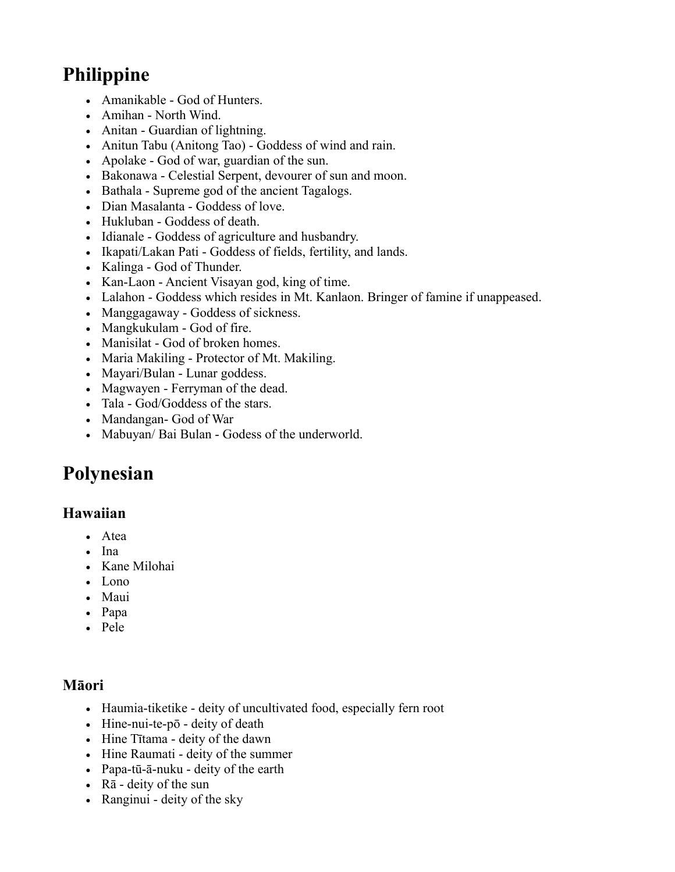# **[Philippine](http://www.answers.com/topic/philippine-mythology)**

- Amanikable God of Hunters.
- Amihan North Wind.
- Anitan Guardian of lightning.
- Anitun Tabu (Anitong Tao) Goddess of wind and rain.
- Apolake God of war, guardian of the sun.
- [Bakonawa](http://www.answers.com/topic/bakunawa)  Celestial Serpent, devourer of sun and moon.
- [Bathala](http://www.answers.com/topic/bathala)  Supreme god of the ancient Tagalogs.
- Dian Masalanta Goddess of love.
- Hukluban Goddess of death.
- Idianale Goddess of agriculture and husbandry.
- Ikapati/Lakan Pati Goddess of fields, fertility, and lands.
- Kalinga God of Thunder.
- [Kan-Laon](http://www.answers.com/topic/kan-laon)  Ancient Visayan god, king of time.
- Lalahon Goddess which resides in Mt. Kanlaon. Bringer of famine if unappeased.
- Manggagaway Goddess of sickness.
- Mangkukulam God of fire.
- Manisilat God of broken homes.
- [Maria Makiling](http://www.answers.com/topic/maria-makiling)  Protector of Mt. Makiling.
- [Mayari/](http://www.answers.com/topic/mayari)Bulan Lunar goddess.
- Magwayen Ferryman of the dead.
- [Tala](http://www.answers.com/topic/tala-goddess)  God/Goddess of the stars.
- Mandangan- God of War
- Mabuyan/ Bai Bulan Godess of the underworld.

# **[Polynesian](http://www.answers.com/topic/polynesian-mythology)**

#### **[Hawaiian](http://www.answers.com/topic/hawaiian-mythology)**

- [Atea](http://www.answers.com/topic/atea)
- [Ina](http://www.answers.com/topic/ina-goddess)
- [Kane Milohai](http://www.answers.com/topic/k-ne-milohai)
- [Lono](http://www.answers.com/topic/lono)
- [Maui](http://www.answers.com/topic/m-ui)
- [Papa](http://www.answers.com/topic/papa)
- [Pele](http://www.answers.com/topic/pele)

### **[Māori](http://www.answers.com/topic/m-ori-mythology)**

- [Haumia-tiketike](http://www.answers.com/topic/haumia-tiketike-1)  deity of uncultivated food, especially fern root
- [Hine-nui-te-pō](http://www.answers.com/topic/hine-nui-te-p)  deity of death
- Hine Tītama deity of the dawn
- Hine Raumati deity of the summer
- [Papa-tū-ā-nuku](http://www.answers.com/topic/rangi-and-papa)  deity of the earth
- [Rā](http://www.answers.com/topic/m-ori-religion)  deity of the sun
- [Ranginui](http://www.answers.com/topic/rangi-and-papa)  deity of the sky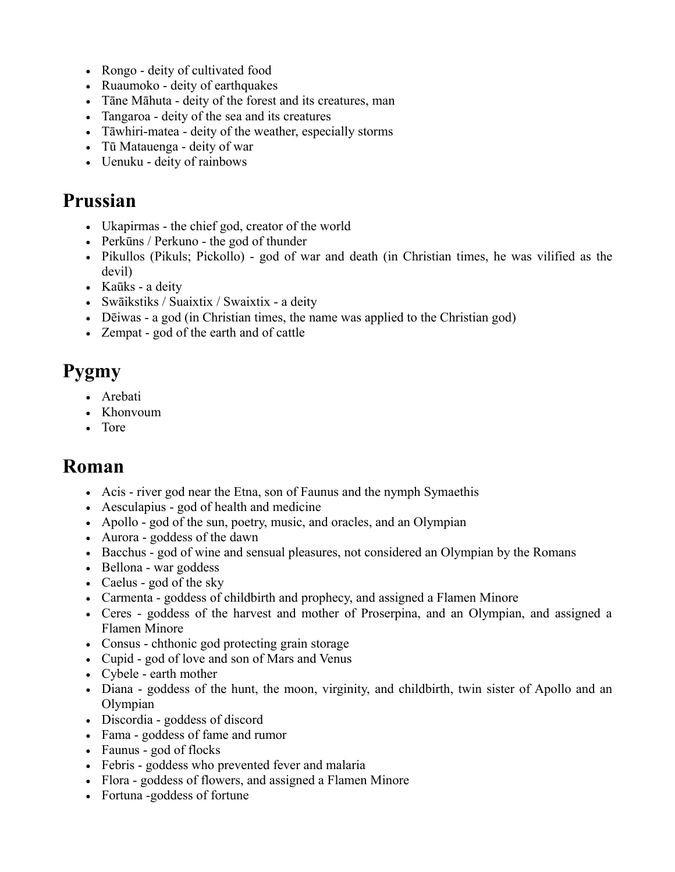- [Rongo](http://www.answers.com/topic/rongo)  deity of cultivated food
- [Ruaumoko](http://www.answers.com/topic/ruaumoko)  deity of earthquakes
- [Tāne Māhuta](http://www.answers.com/topic/t-ne-mahuta)  deity of the forest and its creatures, man
- [Tangaroa](http://www.answers.com/topic/tangaroa)  deity of the sea and its creatures
- [Tāwhiri-matea](http://www.answers.com/topic/t-whirim-tea)  deity of the weather, especially storms
- [Tū Matauenga](http://www.answers.com/topic/t-matauenga)  deity of war
- [Uenuku](http://www.answers.com/topic/uenuku)  deity of rainbows

## **[Prussian](http://www.answers.com/topic/old-prussians)**

- Ukapirmas the chief god, creator of the world
- Perkūns / Perkuno the god of thunder
- [Pikullos](http://www.answers.com/topic/pikullos) (Pikuls; Pickollo) god of war and death (in Christian times, he was vilified as the devil)
- Kaūks a deity
- Swāikstiks / Suaixtix / Swaixtix a deity
- Dēiwas a god (in Christian times, the name was applied to the Christian god)
- [Zempat](http://www.answers.com/topic/zempat)  god of the earth and of cattle

# **[Pygmy](http://www.answers.com/topic/bambuti-mythology)**

- Arebati
- [Khonvoum](http://www.answers.com/topic/khonvoum)
- [Tore](http://www.answers.com/topic/tore-scotland)

## **[Roman](http://www.answers.com/topic/roman-mythology-2)**

- [Acis](http://www.answers.com/topic/acis-1)  river god near the Etna, son of Faunus and the nymph Symaethis
- [Aesculapius](http://www.answers.com/topic/asclepius-1)  god of health and medicine
- [Apollo](http://www.answers.com/topic/apollo)  god of the sun, poetry, music, and oracles, and an Olympian
- [Aurora](http://www.answers.com/topic/aurora-mythology)  goddess of the dawn
- [Bacchus](http://www.answers.com/topic/dionysus)  god of wine and sensual pleasures, not considered an Olympian by the Romans
- [Bellona](http://www.answers.com/topic/bellona-goddess)  war goddess
- [Caelus](http://www.answers.com/topic/caelus)  god of the sky
- [Carmenta](http://www.answers.com/topic/carmenta)  goddess of childbirth and prophecy, and assigned a Flamen Minore
- [Ceres](http://www.answers.com/topic/ceres-7)  goddess of the harvest and mother of Proserpina, and an Olympian, and assigned a Flamen Minore
- [Consus](http://www.answers.com/topic/consus)  chthonic god protecting grain storage
- [Cupid](http://www.answers.com/topic/cupid)  god of love and son of Mars and Venus
- [Cybele](http://www.answers.com/topic/cybele)  earth mother
- [Diana](http://www.answers.com/topic/diana)  goddess of the hunt, the moon, virginity, and childbirth, twin sister of Apollo and an Olympian
- [Discordia](http://www.answers.com/topic/eris)  goddess of discord
- [Fama](http://www.answers.com/topic/pheme)  goddess of fame and rumor
- [Faunus](http://www.answers.com/topic/faunus-3)  god of flocks
- [Febris](http://www.answers.com/topic/febris)  goddess who prevented fever and malaria
- [Flora](http://www.answers.com/topic/flora)  goddess of flowers, and assigned a Flamen Minore
- Fortuna -goddess of fortune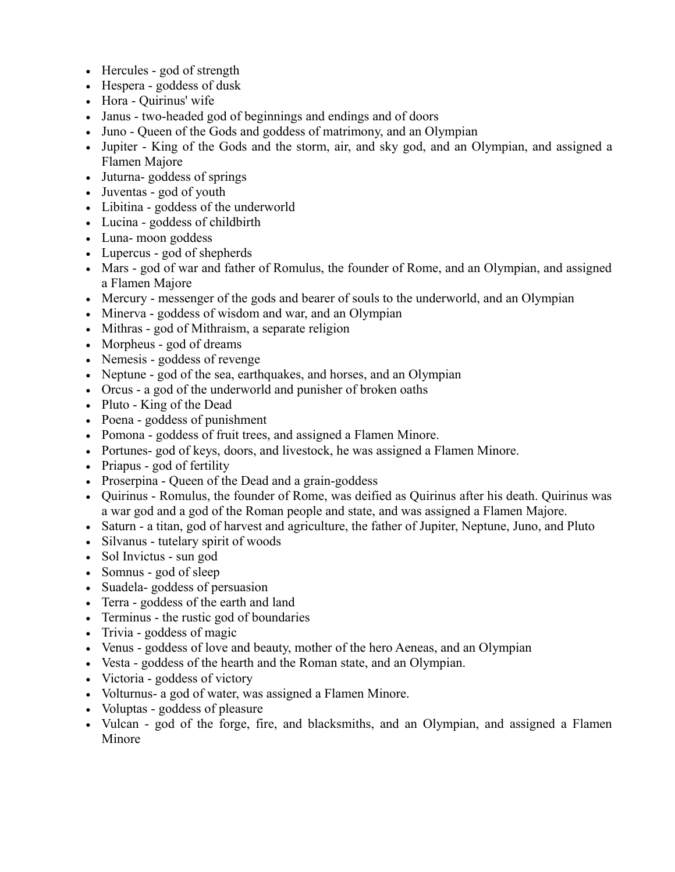- [Hercules](http://www.answers.com/topic/hercules-1914)  god of strength
- [Hespera](http://www.answers.com/topic/hesperides)  goddess of dusk
- [Hora](http://www.answers.com/topic/hersilia)  Quirinus' wife
- [Janus](http://www.answers.com/topic/janus)  two-headed god of beginnings and endings and of doors
- [Juno](http://www.answers.com/topic/juno-mythology)  Queen of the Gods and goddess of matrimony, and an Olympian
- [Jupiter](http://www.answers.com/topic/jupiter-god)  King of the Gods and the storm, air, and sky god, and an Olympian, and assigned a Flamen Majore
- [Juturna-](http://www.answers.com/topic/juturna) goddess of springs
- [Juventas](http://www.answers.com/topic/hebe-mythology)  god of youth
- [Libitina](http://www.answers.com/topic/libitina)  goddess of the underworld
- [Lucina](http://www.answers.com/topic/lucina)  goddess of childbirth
- [Luna-](http://www.answers.com/topic/selene) moon goddess
- [Lupercus](http://www.answers.com/topic/lupercus)  god of [shepherds](http://www.answers.com/topic/shepherd)
- [Mars](http://www.answers.com/topic/mars-god)  god of war and father of Romulus, the founder of Rome, and an Olympian, and assigned a Flamen Majore
- [Mercury](http://www.answers.com/topic/mercury-religion-in-encyclopedia)  messenger of the gods and bearer of souls to the underworld, and an Olympian
- [Minerva](http://www.answers.com/topic/minerva)  goddess of wisdom and war, and an Olympian
- [Mithras](http://www.answers.com/topic/mithras)  god of [Mithraism,](http://www.answers.com/topic/mithraism) a separate religion
- [Morpheus](http://www.answers.com/topic/morpheus)  god of dreams
- [Nemesis](http://www.answers.com/topic/nemesis-mythology-1)  goddess of revenge
- [Neptune](http://www.answers.com/topic/neptune-mythology)  god of the sea, earthquakes, and horses, and an Olympian
- [Orcus](http://www.answers.com/topic/orcus-mythology)  a god of the underworld and punisher of broken oaths
- [Pluto](http://www.answers.com/topic/pluto-god)  King of the Dead
- [Poena](http://www.answers.com/topic/poena)  goddess of punishment
- [Pomona](http://www.answers.com/topic/pomona-3)  goddess of fruit trees, and assigned a Flamen Minore.
- [Portunes-](http://www.answers.com/topic/portunes) god of keys, doors, and livestock, he was assigned a Flamen Minore.
- [Priapus](http://www.answers.com/topic/priapus)  god of fertility
- [Proserpina](http://www.answers.com/topic/proserpina)  Queen of the Dead and a grain-goddess
- [Quirinus](http://www.answers.com/topic/quirinus)  Romulus, the founder of Rome, was deified as Quirinus after his death. Quirinus was a war god and a god of the Roman people and state, and was assigned a Flamen Majore.
- [Saturn](http://www.answers.com/topic/saturn-mythology)  a titan, god of harvest and agriculture, the father of Jupiter, Neptune, Juno, and Pluto
- [Silvanus](http://www.answers.com/topic/silvanus-mythology)  tutelary spirit of woods
- [Sol Invictus](http://www.answers.com/topic/sol-invictus-1)  sun god
- [Somnus](http://www.answers.com/topic/hypnos)  god of sleep
- [Suadela-](http://www.answers.com/topic/suadela) goddess of persuasion
- [Terra](http://www.answers.com/topic/terra-mythology)  goddess of the earth and land
- [Terminus](http://www.answers.com/topic/terminus-god)  the rustic god of boundaries
- [Trivia](http://www.answers.com/topic/trivia-1)  goddess of magic
- [Venus](http://www.answers.com/topic/venus-mythology)  goddess of love and beauty, mother of the hero Aeneas, and an Olympian
- [Vesta](http://www.answers.com/topic/vesta)  goddess of the hearth and the Roman state, and an Olympian.
- [Victoria](http://www.answers.com/topic/victoria-mythology)  goddess of victory
- [Volturnus-](http://www.answers.com/topic/volturnus) a god of water, was assigned a Flamen Minore.
- [Voluptas](http://www.answers.com/topic/voluptas)  goddess of pleasure
- [Vulcan](http://www.answers.com/topic/vulcan-dc-comics)  god of the forge, fire, and blacksmiths, and an Olympian, and assigned a Flamen Minore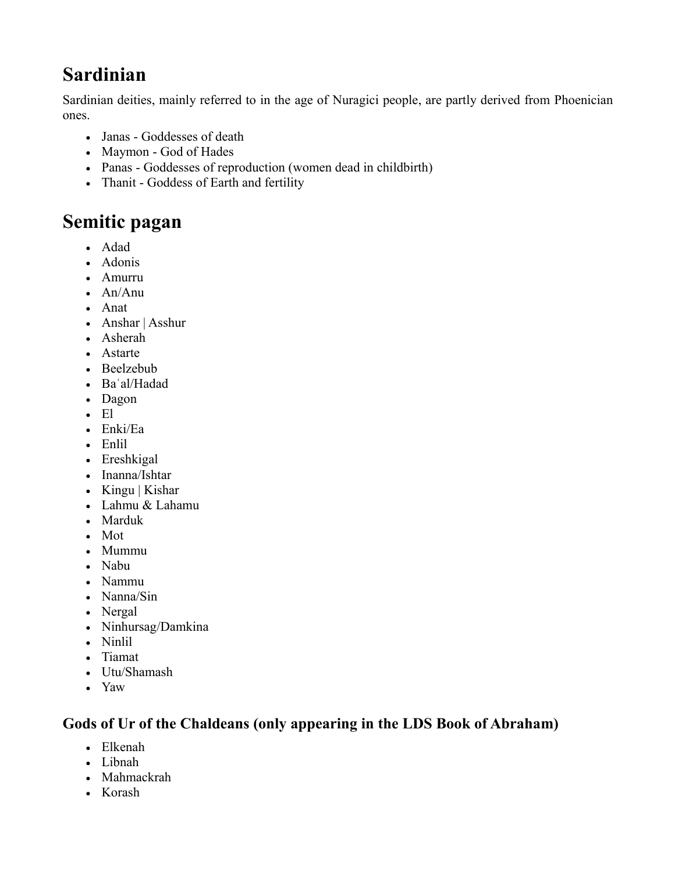# **[Sardinian](http://www.answers.com/topic/sardinia)**

Sardinian deities, mainly referred to in the age of [Nuragici people,](http://www.answers.com/topic/history-of-sardinia) are partly derived from [Phoenician](http://www.answers.com/topic/phoenicia) ones.

- Janas Goddesses of death
- Maymon God of [Hades](http://www.answers.com/topic/hades)
- Panas Goddesses of reproduction (women dead in childbirth)
- Thanit Goddess of Earth and fertility

## **[Semitic pagan](http://www.answers.com/topic/semitic-gods-and-goddesses)**

- [Adad](http://www.answers.com/topic/adad-2)
- [Adonis](http://www.answers.com/topic/adonis)
- [Amurru](http://www.answers.com/topic/amurru)
- [An/Anu](http://www.answers.com/topic/anu)
- [Anat](http://www.answers.com/topic/anat)
- [Anshar](http://www.answers.com/topic/anshar-2) | [Asshur](http://www.answers.com/topic/ashur-1)
- [Asherah](http://www.answers.com/topic/asherah)
- [Astarte](http://www.answers.com/topic/astarte)
- [Beelzebub](http://www.answers.com/topic/beelzebub)
- [Baʿal/Hadad](http://www.answers.com/topic/hadad-1)
- [Dagon](http://www.answers.com/topic/dagon)
- [El](http://www.answers.com/topic/el)
- [Enki/Ea](http://www.answers.com/topic/enki)
- [Enlil](http://www.answers.com/topic/enlil)
- [Ereshkigal](http://www.answers.com/topic/ereshkigal)
- [Inanna/](http://www.answers.com/topic/inanna)[Ishtar](http://www.answers.com/topic/ishtar)
- [Kingu](http://www.answers.com/topic/kingu) | [Kishar](http://www.answers.com/topic/kishar-2)
- [Lahmu](http://www.answers.com/topic/lahmu) & [Lahamu](http://www.answers.com/topic/lahamu)
- [Marduk](http://www.answers.com/topic/marduk)
- [Mot](http://www.answers.com/topic/mot-2)
- [Mummu](http://www.answers.com/topic/mummu)
- [Nabu](http://www.answers.com/topic/nabu-1)
- [Nammu](http://www.answers.com/topic/nammu-2)
- [Nanna/Sin](http://www.answers.com/topic/sin-babylonian-god-of-the-moon)
- [Nergal](http://www.answers.com/topic/nergal)
- [Ninhursag/Damkina](http://www.answers.com/topic/ninhursag-1)
- [Ninlil](http://www.answers.com/topic/ninlil)
- [Tiamat](http://www.answers.com/topic/tiamat)
- [Utu/](http://www.answers.com/topic/utu-1)[Shamash](http://www.answers.com/topic/shamash)
- [Yaw](http://www.answers.com/topic/yam-god)

#### **Gods of Ur of the Chaldeans (only appearing in the LDS Book of Abraham)**

- Elkenah
- [Libnah](http://www.answers.com/topic/libnah)
- Mahmackrah
- [Korash](http://www.answers.com/topic/k-r)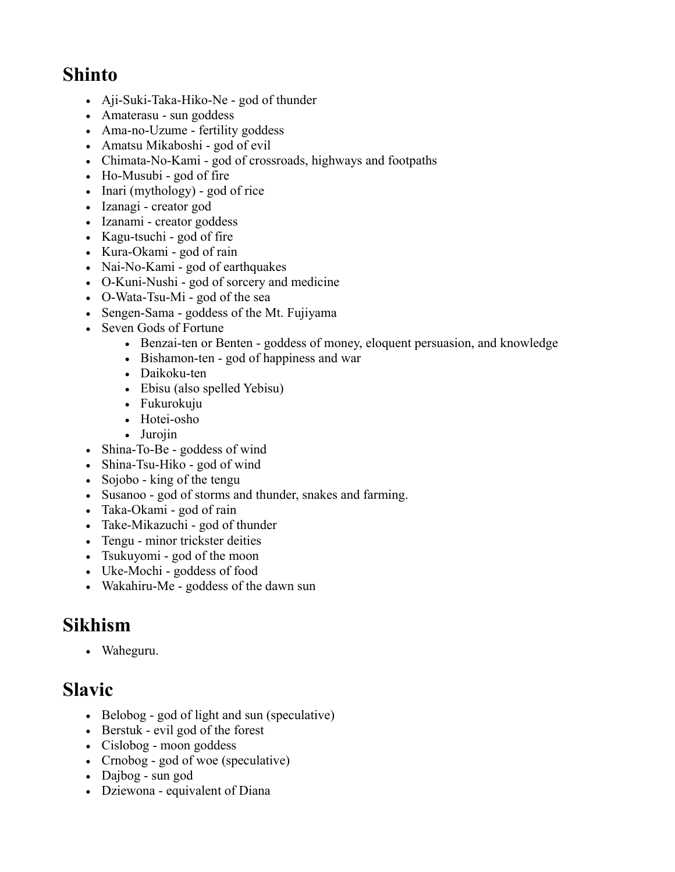## **[Shinto](http://www.answers.com/topic/shinto)**

- [Aji-Suki-Taka-Hiko-Ne](http://www.answers.com/topic/ajisukitakahikone)  god of thunder
- [Amaterasu](http://www.answers.com/topic/amaterasu)  sun goddess
- [Ama-no-Uzume](http://www.answers.com/topic/ama-no-uzume)  fertility goddess
- [Amatsu Mikaboshi](http://www.answers.com/topic/amatsu-mikaboshi)  god of evil
- [Chimata-No-Kami](http://www.answers.com/topic/chimata-no-kami)  god of crossroads, highways and footpaths
- [Ho-Musubi](http://www.answers.com/topic/kagu-tsuchi)  god of fire
- [Inari \(mythology\)](http://www.answers.com/topic/inari)  god of rice
- [Izanagi](http://www.answers.com/topic/izanagi-2)  creator god
- [Izanami](http://www.answers.com/topic/izanami-2)  creator goddess
- [Kagu-tsuchi](http://www.answers.com/topic/kagu-tsuchi)  god of fire
- Kura-Okami god of rain
- Nai-No-Kami god of earthquakes
- [O-Kuni-Nushi](http://www.answers.com/topic/kuninushi)  god of sorcery and medicine
- O-Wata-Tsu-Mi god of the sea
- [Sengen-Sama](http://www.answers.com/topic/konohanasakuya-hime)  goddess of the [Mt. Fujiyama](http://www.answers.com/topic/mount-fuji)
- [Seven Gods of Fortune](http://www.answers.com/topic/seven-lucky-gods)
	- [Benzai-ten](http://www.answers.com/topic/benzaiten) or Benten goddess of money, eloquent persuasion, and knowledge
	- [Bishamon-ten](http://www.answers.com/topic/vaisravana)  god of happiness and war
	- [Daikoku-ten](http://www.answers.com/topic/daikokuten)
	- [Ebisu](http://www.answers.com/topic/ebisu-mythology) (also spelled Yebisu)
	- [Fukurokuju](http://www.answers.com/topic/fukurokuju)
	- [Hotei-osho](http://www.answers.com/topic/budai)
	- [Jurojin](http://www.answers.com/topic/jurojin)
- [Shina-To-Be](http://www.answers.com/topic/shina-to-be)  goddess of wind
- [Shina-Tsu-Hiko](http://www.answers.com/topic/shina-tsu-hiko)  god of wind
- [Sojobo](http://www.answers.com/topic/s-j-b)  king of the [tengu](http://www.answers.com/topic/tengu)
- [Susanoo](http://www.answers.com/topic/susanoo)  god of storms and thunder, snakes and farming.
- Taka-Okami god of rain
- Take-Mikazuchi god of thunder
- [Tengu](http://www.answers.com/topic/tengu)  minor trickster deities
- [Tsukuyomi](http://www.answers.com/topic/tsukuyomi-1)  god of the moon
- [Uke-Mochi](http://www.answers.com/topic/uke-mochi)  goddess of food
- Wakahiru-Me goddess of the dawn sun

## **[Sikhism](http://www.answers.com/topic/sikhism)**

[Waheguru.](http://www.answers.com/topic/waheguru)

## **[Slavic](http://www.answers.com/topic/slavic-mythology)**

- [Belobog](http://www.answers.com/topic/belobog)  god of light and sun (speculative)
- [Berstuk](http://www.answers.com/topic/berstuk)  evil god of the forest
- [Cislobog](http://www.answers.com/topic/zislbog)  moon goddess
- [Crnobog](http://www.answers.com/topic/chernobog-1)  god of woe (speculative)
- [Dajbog](http://www.answers.com/topic/dazbog)  sun god
- [Dziewona](http://www.answers.com/topic/dziewona)  equivalent of [Diana](http://www.answers.com/topic/diana-2)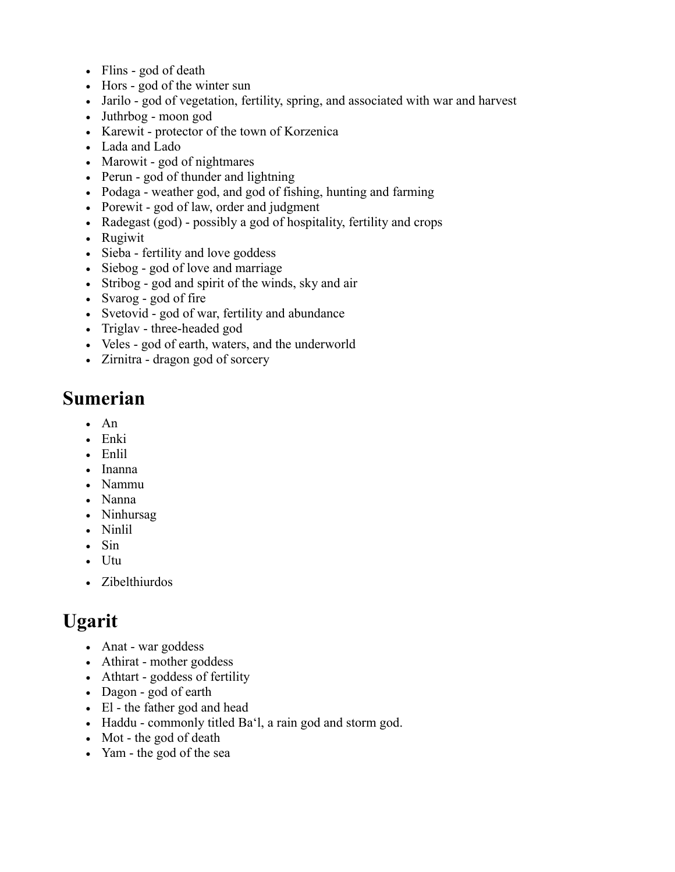- [Flins](http://www.answers.com/topic/flins)  god of death
- [Hors](http://www.answers.com/topic/hors)  god of the winter sun
- [Jarilo](http://www.answers.com/topic/jarilo)  god of vegetation, fertility, spring, and associated with war and harvest
- [Juthrbog](http://www.answers.com/topic/juthrbog)  moon god
- [Karewit](http://www.answers.com/topic/karewit)  protector of the town of [Korzenica](http://www.answers.com/topic/garz)
- [Lada and Lado](http://www.answers.com/topic/lada-and-lado)
- [Marowit](http://www.answers.com/topic/marowit)  god of nightmares
- [Perun](http://www.answers.com/topic/perun)  god of thunder and lightning
- [Podaga](http://www.answers.com/topic/podaga)  weather god, and god of fishing, hunting and farming
- [Porewit](http://www.answers.com/topic/porewit)  god of law, order and judgment
- [Radegast \(god\)](http://www.answers.com/topic/radegast-god)  possibly a god of hospitality, fertility and crops
- [Rugiwit](http://www.answers.com/topic/rugiewit)
- [Sieba](http://www.answers.com/topic/siwa)  fertility and love goddess
- [Siebog](http://www.answers.com/topic/siebog)  god of love and marriage
- [Stribog](http://www.answers.com/topic/stribog)  god and spirit of the winds, sky and air
- [Svarog](http://www.answers.com/topic/svarog)  god of fire
- [Svetovid](http://www.answers.com/topic/svetovid)  god of war, fertility and abundance
- [Triglav](http://www.answers.com/topic/triglav-mythology)  three-headed god
- [Veles](http://www.answers.com/topic/veles-god)  god of earth, waters, and the underworld
- [Zirnitra](http://www.answers.com/topic/zirnitra)  dragon god of sorcery

### **[Sumerian](http://www.answers.com/topic/mesopotamian-mythology)**

- $An$
- [Enki](http://www.answers.com/topic/enki)
- [Enlil](http://www.answers.com/topic/enlil)
- [Inanna](http://www.answers.com/topic/inanna)
- [Nammu](http://www.answers.com/topic/nammu-2)
- [Nanna](http://www.answers.com/topic/nanna)
- [Ninhursag](http://www.answers.com/topic/ninhursag-1)
- [Ninlil](http://www.answers.com/topic/ninlil)
- $\cdot$  [Sin](http://www.answers.com/topic/sin-babylonian-god-of-the-moon)
- [Utu](http://www.answers.com/topic/utu-1)
- [Zibelthiurdos](http://www.answers.com/topic/zibelthiurdos)

## **[Ugarit](http://www.answers.com/topic/ugarit)**

- Anat war goddess
- [Athirat](http://www.answers.com/topic/asherah)  mother goddess
- Athtart goddess of fertility
- [Dagon](http://www.answers.com/topic/dagon)  god of earth
- [El](http://www.answers.com/topic/el)  the father god and head
- [Haddu](http://www.answers.com/topic/hadad-1)  commonly titled [Ba'l,](http://www.answers.com/topic/baal) a rain god and storm god.
- [Mot](http://www.answers.com/topic/mot-2)  the god of death
- [Yam](http://www.answers.com/topic/yam-god)  the god of the sea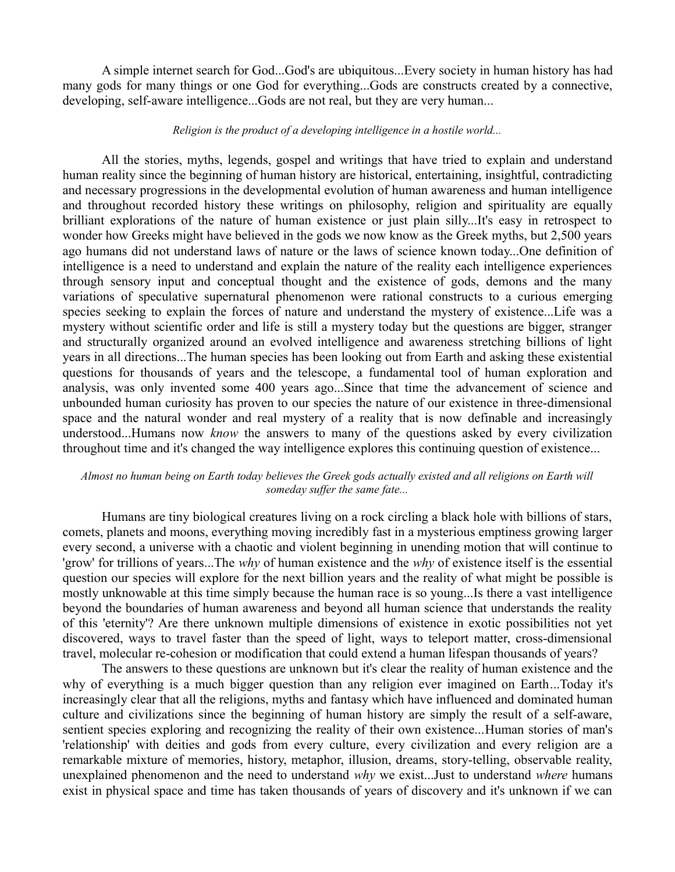A simple internet search for God...God's are ubiquitous...Every society in human history has had many gods for many things or one God for everything...Gods are constructs created by a connective, developing, self-aware intelligence...Gods are not real, but they are very human...

#### *Religion is the product of a developing intelligence in a hostile world...*

All the stories, myths, legends, gospel and writings that have tried to explain and understand human reality since the beginning of human history are historical, entertaining, insightful, contradicting and necessary progressions in the developmental evolution of human awareness and human intelligence and throughout recorded history these writings on philosophy, religion and spirituality are equally brilliant explorations of the nature of human existence or just plain silly...It's easy in retrospect to wonder how Greeks might have believed in the gods we now know as the Greek myths, but 2,500 years ago humans did not understand laws of nature or the laws of science known today...One definition of intelligence is a need to understand and explain the nature of the reality each intelligence experiences through sensory input and conceptual thought and the existence of gods, demons and the many variations of speculative supernatural phenomenon were rational constructs to a curious emerging species seeking to explain the forces of nature and understand the mystery of existence...Life was a mystery without scientific order and life is still a mystery today but the questions are bigger, stranger and structurally organized around an evolved intelligence and awareness stretching billions of light years in all directions...The human species has been looking out from Earth and asking these existential questions for thousands of years and the telescope, a fundamental tool of human exploration and analysis, was only invented some 400 years ago...Since that time the advancement of science and unbounded human curiosity has proven to our species the nature of our existence in three-dimensional space and the natural wonder and real mystery of a reality that is now definable and increasingly understood...Humans now *know* the answers to many of the questions asked by every civilization throughout time and it's changed the way intelligence explores this continuing question of existence...

#### *Almost no human being on Earth today believes the Greek gods actually existed and all religions on Earth will someday suffer the same fate...*

Humans are tiny biological creatures living on a rock circling a black hole with billions of stars, comets, planets and moons, everything moving incredibly fast in a mysterious emptiness growing larger every second, a universe with a chaotic and violent beginning in unending motion that will continue to 'grow' for trillions of years...The *why* of human existence and the *why* of existence itself is the essential question our species will explore for the next billion years and the reality of what might be possible is mostly unknowable at this time simply because the human race is so young...Is there a vast intelligence beyond the boundaries of human awareness and beyond all human science that understands the reality of this 'eternity'? Are there unknown multiple dimensions of existence in exotic possibilities not yet discovered, ways to travel faster than the speed of light, ways to teleport matter, cross-dimensional travel, molecular re-cohesion or modification that could extend a human lifespan thousands of years?

The answers to these questions are unknown but it's clear the reality of human existence and the why of everything is a much bigger question than any religion ever imagined on Earth...Today it's increasingly clear that all the religions, myths and fantasy which have influenced and dominated human culture and civilizations since the beginning of human history are simply the result of a self-aware, sentient species exploring and recognizing the reality of their own existence...Human stories of man's 'relationship' with deities and gods from every culture, every civilization and every religion are a remarkable mixture of memories, history, metaphor, illusion, dreams, story-telling, observable reality, unexplained phenomenon and the need to understand *why* we exist...Just to understand *where* humans exist in physical space and time has taken thousands of years of discovery and it's unknown if we can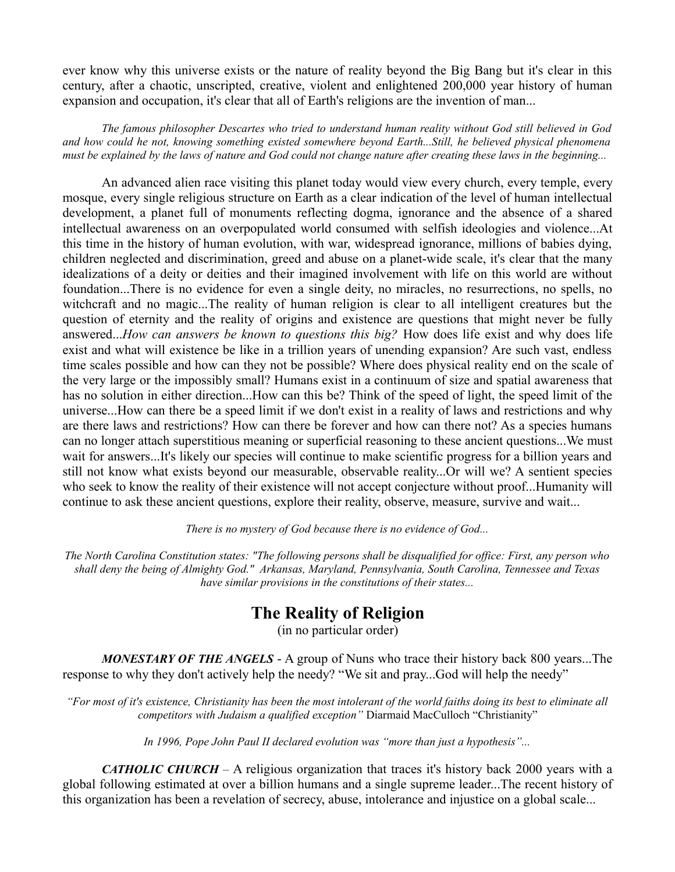ever know why this universe exists or the nature of reality beyond the Big Bang but it's clear in this century, after a chaotic, unscripted, creative, violent and enlightened 200,000 year history of human expansion and occupation, it's clear that all of Earth's religions are the invention of man...

*The famous philosopher Descartes who tried to understand human reality without God still believed in God and how could he not, knowing something existed somewhere beyond Earth...Still, he believed physical phenomena must be explained by the laws of nature and God could not change nature after creating these laws in the beginning...*

An advanced alien race visiting this planet today would view every church, every temple, every mosque, every single religious structure on Earth as a clear indication of the level of human intellectual development, a planet full of monuments reflecting dogma, ignorance and the absence of a shared intellectual awareness on an overpopulated world consumed with selfish ideologies and violence...At this time in the history of human evolution, with war, widespread ignorance, millions of babies dying, children neglected and discrimination, greed and abuse on a planet-wide scale, it's clear that the many idealizations of a deity or deities and their imagined involvement with life on this world are without foundation...There is no evidence for even a single deity, no miracles, no resurrections, no spells, no witchcraft and no magic...The reality of human religion is clear to all intelligent creatures but the question of eternity and the reality of origins and existence are questions that might never be fully answered...*How can answers be known to questions this big?* How does life exist and why does life exist and what will existence be like in a trillion years of unending expansion? Are such vast, endless time scales possible and how can they not be possible? Where does physical reality end on the scale of the very large or the impossibly small? Humans exist in a continuum of size and spatial awareness that has no solution in either direction...How can this be? Think of the speed of light, the speed limit of the universe...How can there be a speed limit if we don't exist in a reality of laws and restrictions and why are there laws and restrictions? How can there be forever and how can there not? As a species humans can no longer attach superstitious meaning or superficial reasoning to these ancient questions...We must wait for answers...It's likely our species will continue to make scientific progress for a billion years and still not know what exists beyond our measurable, observable reality...Or will we? A sentient species who seek to know the reality of their existence will not accept conjecture without proof...Humanity will continue to ask these ancient questions, explore their reality, observe, measure, survive and wait...

*There is no mystery of God because there is no evidence of God...*

*The North Carolina Constitution states: "The following persons shall be disqualified for office: First, any person who shall deny the being of Almighty God." Arkansas, Maryland, Pennsylvania, South Carolina, Tennessee and Texas have similar provisions in the constitutions of their states...*

### **The Reality of Religion**

(in no particular order)

*MONESTARY OF THE ANGELS* - A group of Nuns who trace their history back 800 years...The response to why they don't actively help the needy? "We sit and pray...God will help the needy"

*"For most of it's existence, Christianity has been the most intolerant of the world faiths doing its best to eliminate all competitors with Judaism a qualified exception"* Diarmaid MacCulloch "Christianity"

*In 1996, Pope John Paul II declared evolution was "more than just a hypothesis"...*

*CATHOLIC CHURCH –* A religious organization that traces it's history back 2000 years with a global following estimated at over a billion humans and a single supreme leader...The recent history of this organization has been a revelation of secrecy, abuse, intolerance and injustice on a global scale...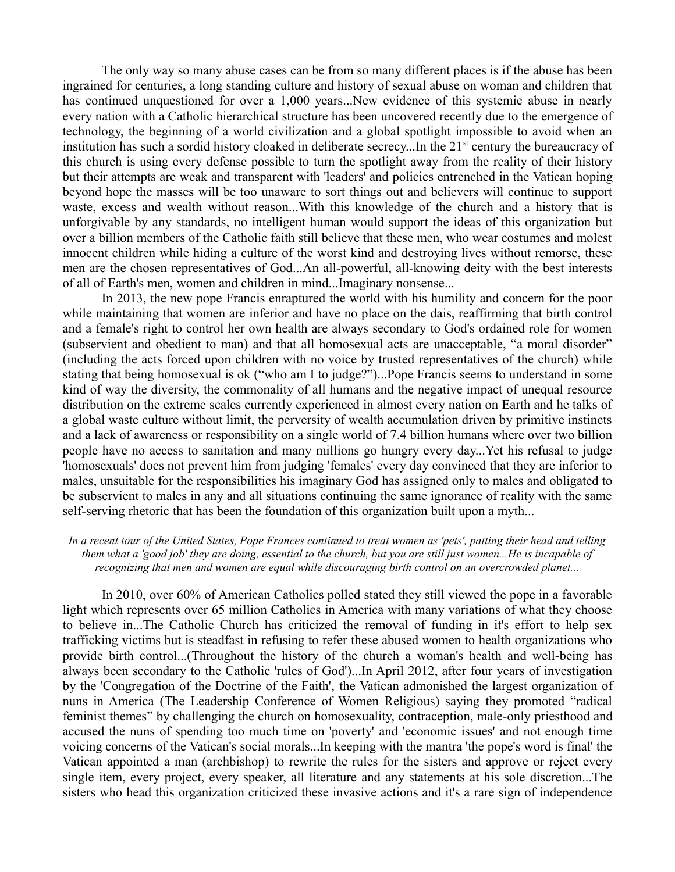The only way so many abuse cases can be from so many different places is if the abuse has been ingrained for centuries, a long standing culture and history of sexual abuse on woman and children that has continued unquestioned for over a 1,000 years...New evidence of this systemic abuse in nearly every nation with a Catholic hierarchical structure has been uncovered recently due to the emergence of technology, the beginning of a world civilization and a global spotlight impossible to avoid when an institution has such a sordid history cloaked in deliberate secrecy...In the  $21<sup>st</sup>$  century the bureaucracy of this church is using every defense possible to turn the spotlight away from the reality of their history but their attempts are weak and transparent with 'leaders' and policies entrenched in the Vatican hoping beyond hope the masses will be too unaware to sort things out and believers will continue to support waste, excess and wealth without reason...With this knowledge of the church and a history that is unforgivable by any standards, no intelligent human would support the ideas of this organization but over a billion members of the Catholic faith still believe that these men, who wear costumes and molest innocent children while hiding a culture of the worst kind and destroying lives without remorse, these men are the chosen representatives of God...An all-powerful, all-knowing deity with the best interests of all of Earth's men, women and children in mind...Imaginary nonsense...

In 2013, the new pope Francis enraptured the world with his humility and concern for the poor while maintaining that women are inferior and have no place on the dais, reaffirming that birth control and a female's right to control her own health are always secondary to God's ordained role for women (subservient and obedient to man) and that all homosexual acts are unacceptable, "a moral disorder" (including the acts forced upon children with no voice by trusted representatives of the church) while stating that being homosexual is ok ("who am I to judge?")...Pope Francis seems to understand in some kind of way the diversity, the commonality of all humans and the negative impact of unequal resource distribution on the extreme scales currently experienced in almost every nation on Earth and he talks of a global waste culture without limit, the perversity of wealth accumulation driven by primitive instincts and a lack of awareness or responsibility on a single world of 7.4 billion humans where over two billion people have no access to sanitation and many millions go hungry every day...Yet his refusal to judge 'homosexuals' does not prevent him from judging 'females' every day convinced that they are inferior to males, unsuitable for the responsibilities his imaginary God has assigned only to males and obligated to be subservient to males in any and all situations continuing the same ignorance of reality with the same self-serving rhetoric that has been the foundation of this organization built upon a myth...

#### *In a recent tour of the United States, Pope Frances continued to treat women as 'pets', patting their head and telling them what a 'good job' they are doing, essential to the church, but you are still just women...He is incapable of recognizing that men and women are equal while discouraging birth control on an overcrowded planet...*

In 2010, over 60% of American Catholics polled stated they still viewed the pope in a favorable light which represents over 65 million Catholics in America with many variations of what they choose to believe in...The Catholic Church has criticized the removal of funding in it's effort to help sex trafficking victims but is steadfast in refusing to refer these abused women to health organizations who provide birth control...(Throughout the history of the church a woman's health and well-being has always been secondary to the Catholic 'rules of God')...In April 2012, after four years of investigation by the 'Congregation of the Doctrine of the Faith', the Vatican admonished the largest organization of nuns in America (The Leadership Conference of Women Religious) saying they promoted "radical feminist themes" by challenging the church on homosexuality, contraception, male-only priesthood and accused the nuns of spending too much time on 'poverty' and 'economic issues' and not enough time voicing concerns of the Vatican's social morals...In keeping with the mantra 'the pope's word is final' the Vatican appointed a man (archbishop) to rewrite the rules for the sisters and approve or reject every single item, every project, every speaker, all literature and any statements at his sole discretion...The sisters who head this organization criticized these invasive actions and it's a rare sign of independence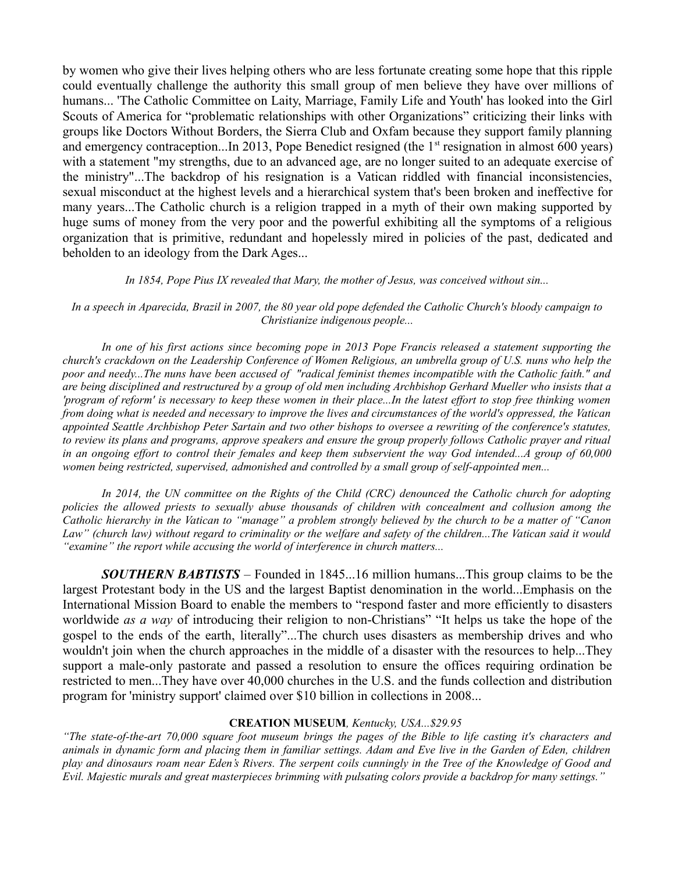by women who give their lives helping others who are less fortunate creating some hope that this ripple could eventually challenge the authority this small group of men believe they have over millions of humans... 'The Catholic Committee on Laity, Marriage, Family Life and Youth' has looked into the Girl Scouts of America for "problematic relationships with other Organizations" criticizing their links with groups like Doctors Without Borders, the Sierra Club and Oxfam because they support family planning and emergency contraception...In 2013, Pope Benedict resigned (the  $1<sup>st</sup>$  resignation in almost 600 years) with a statement "my strengths, due to an advanced age, are no longer suited to an adequate exercise of the ministry"...The backdrop of his resignation is a Vatican riddled with financial inconsistencies, sexual misconduct at the highest levels and a hierarchical system that's been broken and ineffective for many years...The Catholic church is a religion trapped in a myth of their own making supported by huge sums of money from the very poor and the powerful exhibiting all the symptoms of a religious organization that is primitive, redundant and hopelessly mired in policies of the past, dedicated and beholden to an ideology from the Dark Ages...

#### *In 1854, Pope Pius IX revealed that Mary, the mother of Jesus, was conceived without sin...*

*In a speech in Aparecida, Brazil in 2007, the 80 year old pope defended the Catholic Church's bloody campaign to Christianize indigenous people...*

*In one of his first actions since becoming pope in 2013 Pope Francis released a statement supporting the church's crackdown on the Leadership Conference of Women Religious, an umbrella group of U.S. nuns who help the poor and needy...The nuns have been accused of "radical feminist themes incompatible with the Catholic faith." and are being disciplined and restructured by a group of old men including Archbishop Gerhard Mueller who insists that a 'program of reform' is necessary to keep these women in their place...In the latest effort to stop free thinking women from doing what is needed and necessary to improve the lives and circumstances of the world's oppressed, the Vatican appointed Seattle Archbishop Peter Sartain and two other bishops to oversee a rewriting of the conference's statutes, to review its plans and programs, approve speakers and ensure the group properly follows Catholic prayer and ritual in an ongoing effort to control their females and keep them subservient the way God intended...A group of 60,000 women being restricted, supervised, admonished and controlled by a small group of self-appointed men...*

*In 2014, the UN committee on the Rights of the Child (CRC) denounced the Catholic church for adopting policies the allowed priests to sexually abuse thousands of children with concealment and collusion among the Catholic hierarchy in the Vatican to "manage" a problem strongly believed by the church to be a matter of "Canon Law" (church law) without regard to criminality or the welfare and safety of the children...The Vatican said it would "examine" the report while accusing the world of interference in church matters...*

*SOUTHERN BABTISTS* – Founded in 1845...16 million humans...This group claims to be the largest Protestant body in the US and the largest Baptist denomination in the world...Emphasis on the International Mission Board to enable the members to "respond faster and more efficiently to disasters worldwide *as a way* of introducing their religion to non-Christians" "It helps us take the hope of the gospel to the ends of the earth, literally"...The church uses disasters as membership drives and who wouldn't join when the church approaches in the middle of a disaster with the resources to help...They support a male-only pastorate and passed a resolution to ensure the offices requiring ordination be restricted to men...They have over 40,000 churches in the U.S. and the funds collection and distribution program for 'ministry support' claimed over \$10 billion in collections in 2008...

#### **CREATION MUSEUM***, Kentucky, USA...\$29.95*

*"The state-of-the-art 70,000 square foot museum brings the pages of the Bible to life casting it's characters and animals in dynamic form and placing them in familiar settings. Adam and Eve live in the Garden of Eden, children play and dinosaurs roam near Eden's Rivers. The serpent coils cunningly in the Tree of the Knowledge of Good and Evil. Majestic murals and great masterpieces brimming with pulsating colors provide a backdrop for many settings."*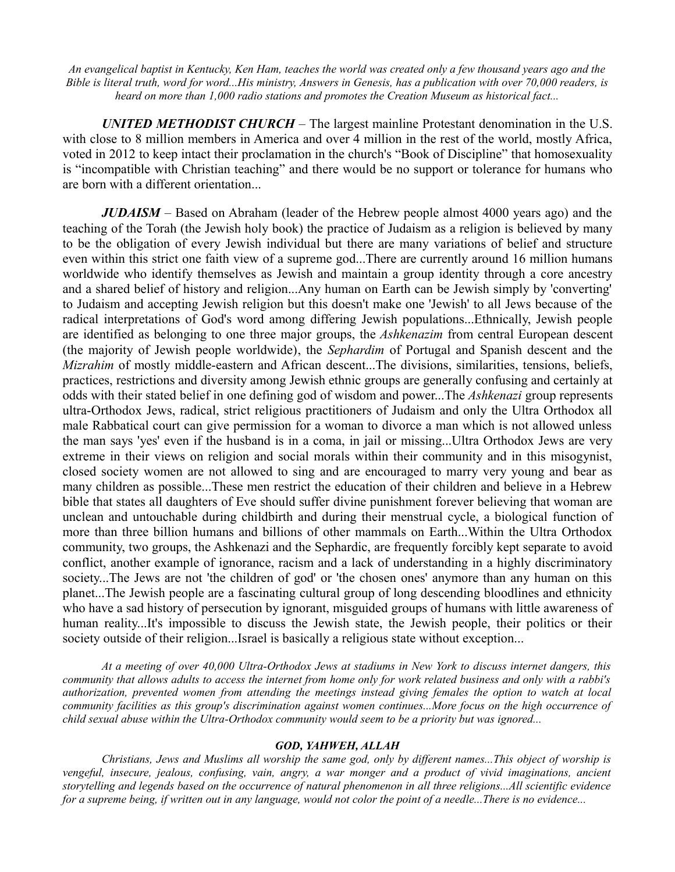*An evangelical baptist in Kentucky, Ken Ham, teaches the world was created only a few thousand years ago and the Bible is literal truth, word for word...His ministry, Answers in Genesis, has a publication with over 70,000 readers, is heard on more than 1,000 radio stations and promotes the Creation Museum as historical fact...*

*UNITED METHODIST CHURCH –* The largest mainline Protestant denomination in the U.S. with close to 8 million members in America and over 4 million in the rest of the world, mostly Africa, voted in 2012 to keep intact their proclamation in the church's "Book of Discipline" that homosexuality is "incompatible with Christian teaching" and there would be no support or tolerance for humans who are born with a different orientation...

*JUDAISM –* Based on Abraham (leader of the Hebrew people almost 4000 years ago) and the teaching of the Torah (the Jewish holy book) the practice of Judaism as a religion is believed by many to be the obligation of every Jewish individual but there are many variations of belief and structure even within this strict one faith view of a supreme god...There are currently around 16 million humans worldwide who identify themselves as Jewish and maintain a group identity through a core ancestry and a shared belief of history and religion...Any human on Earth can be Jewish simply by 'converting' to Judaism and accepting Jewish religion but this doesn't make one 'Jewish' to all Jews because of the radical interpretations of God's word among differing Jewish populations...Ethnically, Jewish people are identified as belonging to one three major groups, the *Ashkenazim* from central European descent (the majority of Jewish people worldwide), the *Sephardim* of Portugal and Spanish descent and the *Mizrahim* of mostly middle-eastern and African descent...The divisions, similarities, tensions, beliefs, practices, restrictions and diversity among Jewish ethnic groups are generally confusing and certainly at odds with their stated belief in one defining god of wisdom and power...The *Ashkenazi* group represents ultra-Orthodox Jews, radical, strict religious practitioners of Judaism and only the Ultra Orthodox all male Rabbatical court can give permission for a woman to divorce a man which is not allowed unless the man says 'yes' even if the husband is in a coma, in jail or missing...Ultra Orthodox Jews are very extreme in their views on religion and social morals within their community and in this misogynist, closed society women are not allowed to sing and are encouraged to marry very young and bear as many children as possible...These men restrict the education of their children and believe in a Hebrew bible that states all daughters of Eve should suffer divine punishment forever believing that woman are unclean and untouchable during childbirth and during their menstrual cycle, a biological function of more than three billion humans and billions of other mammals on Earth...Within the Ultra Orthodox community, two groups, the Ashkenazi and the Sephardic, are frequently forcibly kept separate to avoid conflict, another example of ignorance, racism and a lack of understanding in a highly discriminatory society...The Jews are not 'the children of god' or 'the chosen ones' anymore than any human on this planet...The Jewish people are a fascinating cultural group of long descending bloodlines and ethnicity who have a sad history of persecution by ignorant, misguided groups of humans with little awareness of human reality...It's impossible to discuss the Jewish state, the Jewish people, their politics or their society outside of their religion...Israel is basically a religious state without exception...

*At a meeting of over 40,000 Ultra-Orthodox Jews at stadiums in New York to discuss internet dangers, this community that allows adults to access the internet from home only for work related business and only with a rabbi's authorization, prevented women from attending the meetings instead giving females the option to watch at local community facilities as this group's discrimination against women continues...More focus on the high occurrence of child sexual abuse within the Ultra-Orthodox community would seem to be a priority but was ignored...*

#### *GOD, YAHWEH, ALLAH*

*Christians, Jews and Muslims all worship the same god, only by different names...This object of worship is vengeful, insecure, jealous, confusing, vain, angry, a war monger and a product of vivid imaginations, ancient storytelling and legends based on the occurrence of natural phenomenon in all three religions...All scientific evidence for a supreme being, if written out in any language, would not color the point of a needle...There is no evidence...*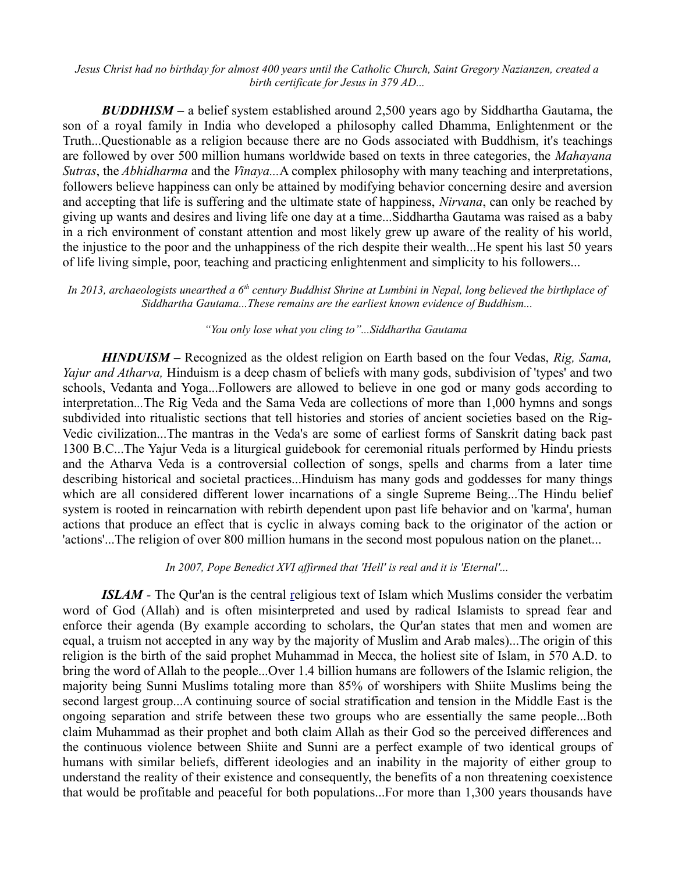*Jesus Christ had no birthday for almost 400 years until the Catholic Church, Saint Gregory Nazianzen, created a birth certificate for Jesus in 379 AD...*

*BUDDHISM –* a belief system established around 2,500 years ago by Siddhartha Gautama, the son of a royal family in India who developed a philosophy called Dhamma, Enlightenment or the Truth...Questionable as a religion because there are no Gods associated with Buddhism, it's teachings are followed by over 500 million humans worldwide based on texts in three categories, the *Mahayana Sutras*, the *Abhidharma* and the *Vinaya...*A complex philosophy with many teaching and interpretations, followers believe happiness can only be attained by modifying behavior concerning desire and aversion and accepting that life is suffering and the ultimate state of happiness, *Nirvana*, can only be reached by giving up wants and desires and living life one day at a time...Siddhartha Gautama was raised as a baby in a rich environment of constant attention and most likely grew up aware of the reality of his world, the injustice to the poor and the unhappiness of the rich despite their wealth...He spent his last 50 years of life living simple, poor, teaching and practicing enlightenment and simplicity to his followers...

#### *In 2013, archaeologists unearthed a 6th century Buddhist Shrine at Lumbini in Nepal, long believed the birthplace of Siddhartha Gautama...These remains are the earliest known evidence of Buddhism...*

#### *"You only lose what you cling to"...Siddhartha Gautama*

*HINDUISM –* Recognized as the oldest religion on Earth based on the four Vedas, *Rig, Sama, Yajur and Atharva,* Hinduism is a deep chasm of beliefs with many gods, subdivision of 'types' and two schools, Vedanta and Yoga...Followers are allowed to believe in one god or many gods according to interpretation.*..*The Rig Veda and the Sama Veda are collections of more than 1,000 hymns and songs subdivided into ritualistic sections that tell histories and stories of ancient societies based on the Rig-Vedic civilization...The mantras in the Veda's are some of earliest forms of Sanskrit dating back past 1300 B.C...The Yajur Veda is a liturgical guidebook for ceremonial rituals performed by Hindu priests and the Atharva Veda is a controversial collection of songs, spells and charms from a later time describing historical and societal practices...Hinduism has many gods and goddesses for many things which are all considered different lower incarnations of a single Supreme Being...The Hindu belief system is rooted in reincarnation with rebirth dependent upon past life behavior and on 'karma', human actions that produce an effect that is cyclic in always coming back to the originator of the action or 'actions'...The religion of over 800 million humans in the second most populous nation on the planet...

#### *In 2007, Pope Benedict XVI affirmed that 'Hell' is real and it is 'Eternal'...*

*ISLAM -* The Qur'an is the central [re](http://en.wikipedia.org/wiki/Islam)ligious text of Islam which Muslims consider the verbatim word of God (Allah) and is often misinterpreted and used by radical Islamists to spread fear and enforce their agenda (By example according to scholars, the Qur'an states that men and women are equal, a truism not accepted in any way by the majority of Muslim and Arab males)...The origin of this religion is the birth of the said prophet Muhammad in Mecca, the holiest site of Islam, in 570 A.D. to bring the word of Allah to the people...Over 1.4 billion humans are followers of the Islamic religion, the majority being Sunni Muslims totaling more than 85% of worshipers with Shiite Muslims being the second largest group...A continuing source of social stratification and tension in the Middle East is the ongoing separation and strife between these two groups who are essentially the same people...Both claim Muhammad as their prophet and both claim Allah as their God so the perceived differences and the continuous violence between Shiite and Sunni are a perfect example of two identical groups of humans with similar beliefs, different ideologies and an inability in the majority of either group to understand the reality of their existence and consequently, the benefits of a non threatening coexistence that would be profitable and peaceful for both populations...For more than 1,300 years thousands have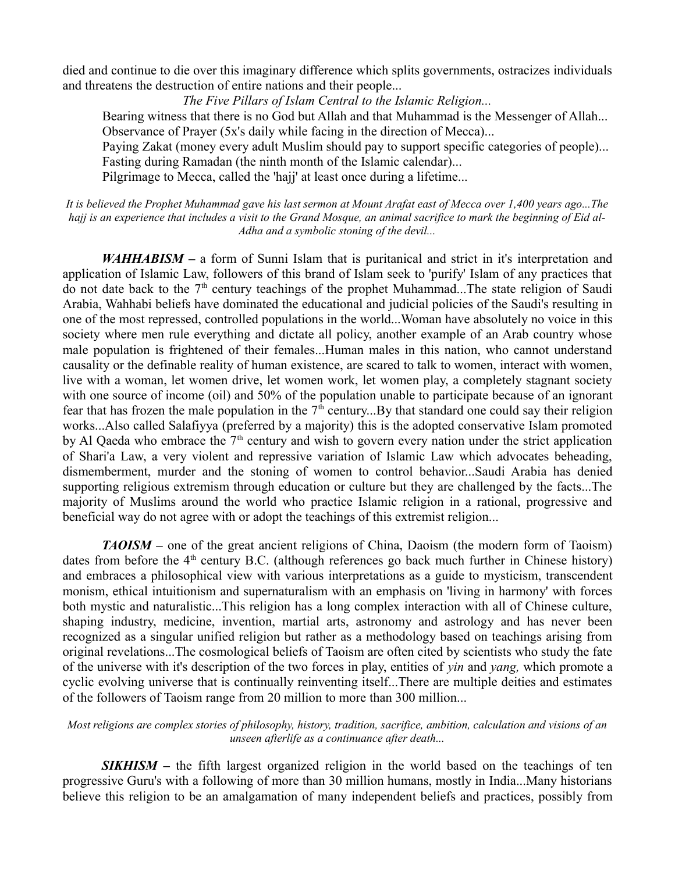died and continue to die over this imaginary difference which splits governments, ostracizes individuals and threatens the destruction of entire nations and their people...

*The Five Pillars of Islam Central to the Islamic Religion...*

Bearing witness that there is no God but Allah and that Muhammad is the Messenger of Allah... Observance of Prayer (5x's daily while facing in the direction of Mecca)...

Paying Zakat (money every adult Muslim should pay to support specific categories of people)... Fasting during Ramadan (the ninth month of the Islamic calendar)...

Pilgrimage to Mecca, called the 'hajj' at least once during a lifetime...

*It is believed the Prophet Muhammad gave his last sermon at Mount Arafat east of Mecca over 1,400 years ago...The hajj is an experience that includes a visit to the Grand Mosque, an animal sacrifice to mark the beginning of Eid al-Adha and a symbolic stoning of the devil...*

*WAHHABISM* – a form of Sunni Islam that is puritanical and strict in it's interpretation and application of Islamic Law, followers of this brand of Islam seek to 'purify' Islam of any practices that do not date back to the 7<sup>th</sup> century teachings of the prophet Muhammad...The state religion of Saudi Arabia, Wahhabi beliefs have dominated the educational and judicial policies of the Saudi's resulting in one of the most repressed, controlled populations in the world...Woman have absolutely no voice in this society where men rule everything and dictate all policy, another example of an Arab country whose male population is frightened of their females...Human males in this nation, who cannot understand causality or the definable reality of human existence, are scared to talk to women, interact with women, live with a woman, let women drive, let women work, let women play, a completely stagnant society with one source of income (oil) and 50% of the population unable to participate because of an ignorant fear that has frozen the male population in the  $7<sup>th</sup>$  century...By that standard one could say their religion works...Also called Salafiyya (preferred by a majority) this is the adopted conservative Islam promoted by Al Qaeda who embrace the  $7<sup>th</sup>$  century and wish to govern every nation under the strict application of Shari'a Law, a very violent and repressive variation of Islamic Law which advocates beheading, dismemberment, murder and the stoning of women to control behavior...Saudi Arabia has denied supporting religious extremism through education or culture but they are challenged by the facts...The majority of Muslims around the world who practice Islamic religion in a rational, progressive and beneficial way do not agree with or adopt the teachings of this extremist religion...

*TAOISM* – one of the great ancient religions of China, Daoism (the modern form of Taoism) dates from before the  $4<sup>th</sup>$  century B.C. (although references go back much further in Chinese history) and embraces a philosophical view with various interpretations as a guide to mysticism, transcendent monism, ethical intuitionism and supernaturalism with an emphasis on 'living in harmony' with forces both mystic and naturalistic...This religion has a long complex interaction with all of Chinese culture, shaping industry, medicine, invention, martial arts, astronomy and astrology and has never been recognized as a singular unified religion but rather as a methodology based on teachings arising from original revelations...The cosmological beliefs of Taoism are often cited by scientists who study the fate of the universe with it's description of the two forces in play, entities of *yin* and *yang,* which promote a cyclic evolving universe that is continually reinventing itself...There are multiple deities and estimates of the followers of Taoism range from 20 million to more than 300 million...

#### *Most religions are complex stories of philosophy, history, tradition, sacrifice, ambition, calculation and visions of an unseen afterlife as a continuance after death...*

**SIKHISM** – the fifth largest organized religion in the world based on the teachings of ten progressive Guru's with a following of more than 30 million humans, mostly in India...Many historians believe this religion to be an amalgamation of many independent beliefs and practices, possibly from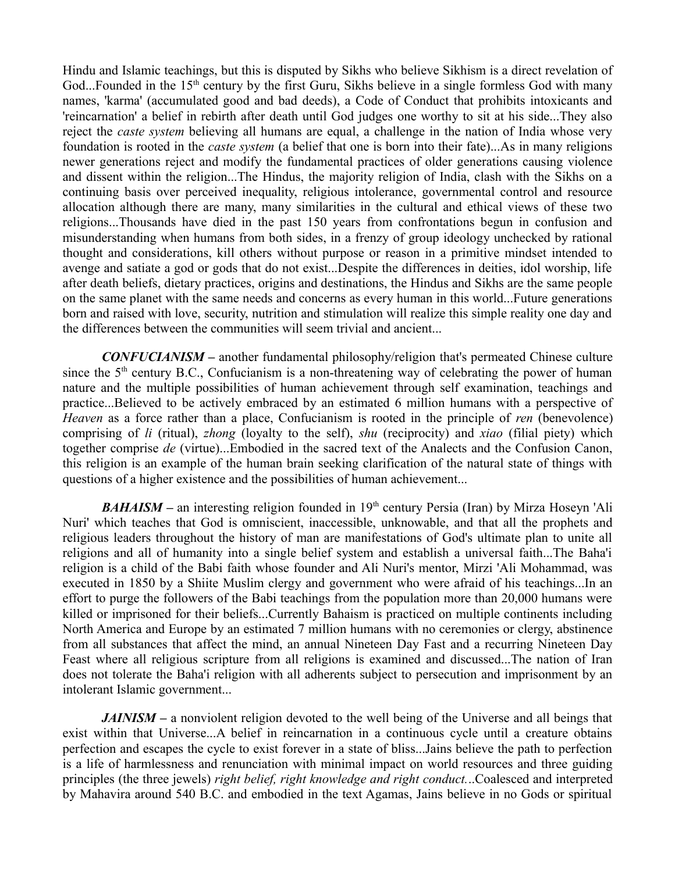Hindu and Islamic teachings, but this is disputed by Sikhs who believe Sikhism is a direct revelation of God...Founded in the 15<sup>th</sup> century by the first Guru, Sikhs believe in a single formless God with many names, 'karma' (accumulated good and bad deeds), a Code of Conduct that prohibits intoxicants and 'reincarnation' a belief in rebirth after death until God judges one worthy to sit at his side...They also reject the *caste system* believing all humans are equal, a challenge in the nation of India whose very foundation is rooted in the *caste system* (a belief that one is born into their fate)...As in many religions newer generations reject and modify the fundamental practices of older generations causing violence and dissent within the religion...The Hindus, the majority religion of India, clash with the Sikhs on a continuing basis over perceived inequality, religious intolerance, governmental control and resource allocation although there are many, many similarities in the cultural and ethical views of these two religions...Thousands have died in the past 150 years from confrontations begun in confusion and misunderstanding when humans from both sides, in a frenzy of group ideology unchecked by rational thought and considerations, kill others without purpose or reason in a primitive mindset intended to avenge and satiate a god or gods that do not exist...Despite the differences in deities, idol worship, life after death beliefs, dietary practices, origins and destinations, the Hindus and Sikhs are the same people on the same planet with the same needs and concerns as every human in this world...Future generations born and raised with love, security, nutrition and stimulation will realize this simple reality one day and the differences between the communities will seem trivial and ancient...

*CONFUCIANISM –* another fundamental philosophy/religion that's permeated Chinese culture since the  $5<sup>th</sup>$  century B.C., Confucianism is a non-threatening way of celebrating the power of human nature and the multiple possibilities of human achievement through self examination, teachings and practice...Believed to be actively embraced by an estimated 6 million humans with a perspective of *Heaven* as a force rather than a place, Confucianism is rooted in the principle of *ren* (benevolence) comprising of *li* (ritual), *zhong* (loyalty to the self), *shu* (reciprocity) and *xiao* (filial piety) which together comprise *de* (virtue)...Embodied in the sacred text of the Analects and the Confusion Canon, this religion is an example of the human brain seeking clarification of the natural state of things with questions of a higher existence and the possibilities of human achievement...

*BAHAISM* – an interesting religion founded in 19<sup>th</sup> century Persia (Iran) by Mirza Hoseyn 'Ali Nuri' which teaches that God is omniscient, inaccessible, unknowable, and that all the prophets and religious leaders throughout the history of man are manifestations of God's ultimate plan to unite all religions and all of humanity into a single belief system and establish a universal faith...The Baha'i religion is a child of the Babi faith whose founder and Ali Nuri's mentor, Mirzi 'Ali Mohammad, was executed in 1850 by a Shiite Muslim clergy and government who were afraid of his teachings...In an effort to purge the followers of the Babi teachings from the population more than 20,000 humans were killed or imprisoned for their beliefs...Currently Bahaism is practiced on multiple continents including North America and Europe by an estimated 7 million humans with no ceremonies or clergy, abstinence from all substances that affect the mind, an annual Nineteen Day Fast and a recurring Nineteen Day Feast where all religious scripture from all religions is examined and discussed...The nation of Iran does not tolerate the Baha'i religion with all adherents subject to persecution and imprisonment by an intolerant Islamic government...

*JAINISM* – a nonviolent religion devoted to the well being of the Universe and all beings that exist within that Universe...A belief in reincarnation in a continuous cycle until a creature obtains perfection and escapes the cycle to exist forever in a state of bliss...Jains believe the path to perfection is a life of harmlessness and renunciation with minimal impact on world resources and three guiding principles (the three jewels) *right belief, right knowledge and right conduct.*..Coalesced and interpreted by Mahavira around 540 B.C. and embodied in the text Agamas, Jains believe in no Gods or spiritual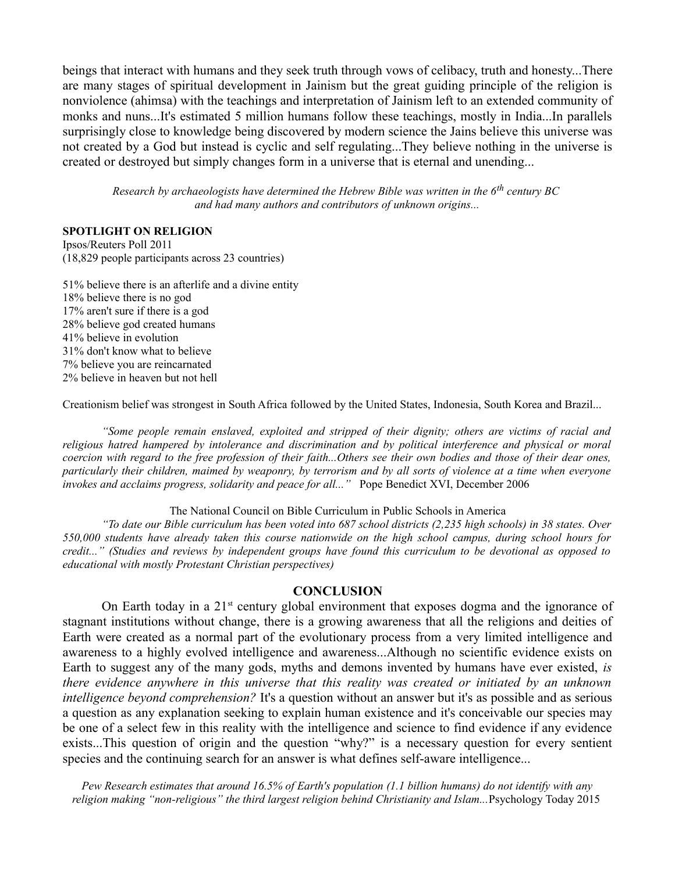beings that interact with humans and they seek truth through vows of celibacy, truth and honesty...There are many stages of spiritual development in Jainism but the great guiding principle of the religion is nonviolence (ahimsa) with the teachings and interpretation of Jainism left to an extended community of monks and nuns...It's estimated 5 million humans follow these teachings, mostly in India...In parallels surprisingly close to knowledge being discovered by modern science the Jains believe this universe was not created by a God but instead is cyclic and self regulating...They believe nothing in the universe is created or destroyed but simply changes form in a universe that is eternal and unending...

*Research by archaeologists have determined the Hebrew Bible was written in the 6th century BC and had many authors and contributors of unknown origins...*

#### **SPOTLIGHT ON RELIGION**

Ipsos/Reuters Poll 2011 (18,829 people participants across 23 countries)

51% believe there is an afterlife and a divine entity 18% believe there is no god 17% aren't sure if there is a god 28% believe god created humans 41% believe in evolution 31% don't know what to believe 7% believe you are reincarnated 2% believe in heaven but not hell

Creationism belief was strongest in South Africa followed by the United States, Indonesia, South Korea and Brazil...

*"Some people remain enslaved, exploited and stripped of their dignity; others are victims of racial and religious hatred hampered by intolerance and discrimination and by political interference and physical or moral coercion with regard to the free profession of their faith...Others see their own bodies and those of their dear ones, particularly their children, maimed by weaponry, by terrorism and by all sorts of violence at a time when everyone invokes and acclaims progress, solidarity and peace for all..."* Pope Benedict XVI, December 2006

The National Council on Bible Curriculum in Public Schools in America

*"To date our Bible curriculum has been voted into 687 school districts (2,235 high schools) in 38 states. Over 550,000 students have already taken this course nationwide on the high school campus, during school hours for credit..." (Studies and reviews by independent groups have found this curriculum to be devotional as opposed to educational with mostly Protestant Christian perspectives)*

#### **CONCLUSION**

On Earth today in a  $21<sup>st</sup>$  century global environment that exposes dogma and the ignorance of stagnant institutions without change, there is a growing awareness that all the religions and deities of Earth were created as a normal part of the evolutionary process from a very limited intelligence and awareness to a highly evolved intelligence and awareness...Although no scientific evidence exists on Earth to suggest any of the many gods, myths and demons invented by humans have ever existed, *is there evidence anywhere in this universe that this reality was created or initiated by an unknown intelligence beyond comprehension?* It's a question without an answer but it's as possible and as serious a question as any explanation seeking to explain human existence and it's conceivable our species may be one of a select few in this reality with the intelligence and science to find evidence if any evidence exists...This question of origin and the question "why?" is a necessary question for every sentient species and the continuing search for an answer is what defines self-aware intelligence...

*Pew Research estimates that around 16.5% of Earth's population (1.1 billion humans) do not identify with any religion making "non-religious" the third largest religion behind Christianity and Islam...*Psychology Today 2015